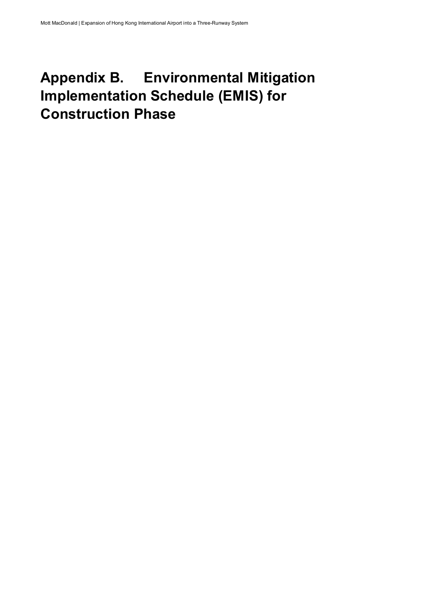## Appendix B. Environmental Mitigation Implementation Schedule (EMIS) for Construction Phase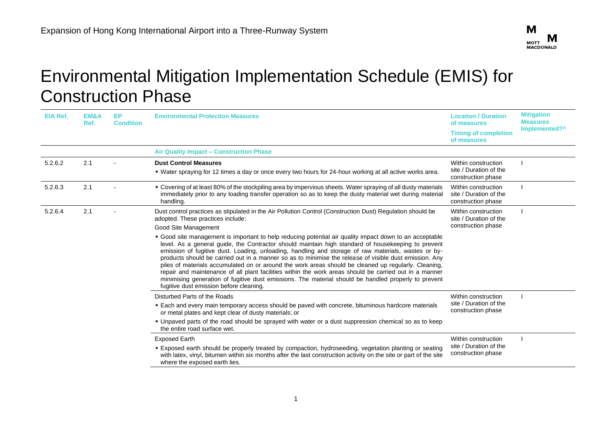

## Environmental Mitigation Implementation Schedule (EMIS) for Construction Phase

| <b>EIA Ref.</b> | EM&A<br>Ref. | EP.<br><b>Condition</b> | <b>Environmental Protection Measures</b>                                                                                                                                                                                                                                                                                                                                                                                                                                                                                                                                                                                                                                                                                                                                                            | <b>Location / Duration</b><br>of measures<br><b>Timing of completion</b><br>of measures | <b>Mitigation</b><br><b>Measures</b><br>Implemented?^ |
|-----------------|--------------|-------------------------|-----------------------------------------------------------------------------------------------------------------------------------------------------------------------------------------------------------------------------------------------------------------------------------------------------------------------------------------------------------------------------------------------------------------------------------------------------------------------------------------------------------------------------------------------------------------------------------------------------------------------------------------------------------------------------------------------------------------------------------------------------------------------------------------------------|-----------------------------------------------------------------------------------------|-------------------------------------------------------|
|                 |              |                         | <b>Air Quality Impact - Construction Phase</b>                                                                                                                                                                                                                                                                                                                                                                                                                                                                                                                                                                                                                                                                                                                                                      |                                                                                         |                                                       |
| 5.2.6.2         | 2.1          |                         | <b>Dust Control Measures</b><br>. Water spraying for 12 times a day or once every two hours for 24-hour working at all active works area.                                                                                                                                                                                                                                                                                                                                                                                                                                                                                                                                                                                                                                                           | Within construction<br>site / Duration of the<br>construction phase                     |                                                       |
| 5.2.6.3         | 2.1          |                         | • Covering of at least 80% of the stockpiling area by impervious sheets. Water spraying of all dusty materials<br>immediately prior to any loading transfer operation so as to keep the dusty material wet during material<br>handling.                                                                                                                                                                                                                                                                                                                                                                                                                                                                                                                                                             | Within construction<br>site / Duration of the<br>construction phase                     |                                                       |
| 5.2.6.4         | 2.1          |                         | Dust control practices as stipulated in the Air Pollution Control (Construction Dust) Regulation should be<br>adopted. These practices include:<br>Good Site Management                                                                                                                                                                                                                                                                                                                                                                                                                                                                                                                                                                                                                             | Within construction<br>site / Duration of the<br>construction phase                     |                                                       |
|                 |              |                         | • Good site management is important to help reducing potential air quality impact down to an acceptable<br>level. As a general guide, the Contractor should maintain high standard of housekeeping to prevent<br>emission of fugitive dust. Loading, unloading, handling and storage of raw materials, wastes or by-<br>products should be carried out in a manner so as to minimise the release of visible dust emission. Any<br>piles of materials accumulated on or around the work areas should be cleaned up regularly. Cleaning,<br>repair and maintenance of all plant facilities within the work areas should be carried out in a manner<br>minimising generation of fugitive dust emissions. The material should be handled properly to prevent<br>fugitive dust emission before cleaning. |                                                                                         |                                                       |
|                 |              |                         | Disturbed Parts of the Roads                                                                                                                                                                                                                                                                                                                                                                                                                                                                                                                                                                                                                                                                                                                                                                        | Within construction                                                                     |                                                       |
|                 |              |                         | • Each and every main temporary access should be paved with concrete, bituminous hardcore materials<br>or metal plates and kept clear of dusty materials; or                                                                                                                                                                                                                                                                                                                                                                                                                                                                                                                                                                                                                                        | site / Duration of the<br>construction phase                                            |                                                       |
|                 |              |                         | • Unpaved parts of the road should be sprayed with water or a dust suppression chemical so as to keep<br>the entire road surface wet.                                                                                                                                                                                                                                                                                                                                                                                                                                                                                                                                                                                                                                                               |                                                                                         |                                                       |
|                 |              |                         | <b>Exposed Earth</b><br><b>Exposed earth should be properly treated by compaction, hydroseeding, vegetation planting or seating</b><br>with latex, vinyl, bitumen within six months after the last construction activity on the site or part of the site<br>where the exposed earth lies.                                                                                                                                                                                                                                                                                                                                                                                                                                                                                                           | Within construction<br>site / Duration of the<br>construction phase                     |                                                       |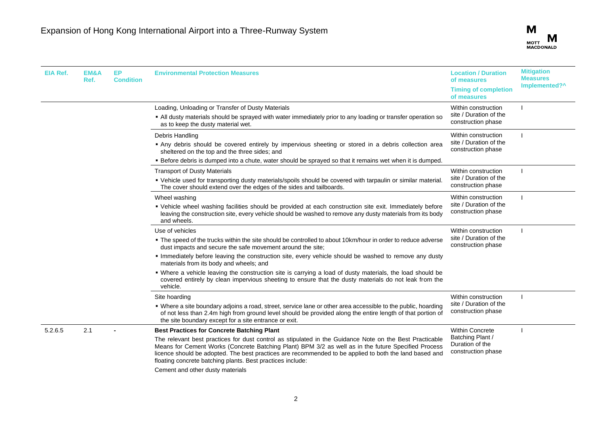

| <b>EIA Ref.</b> | EM&A<br>Ref. | EP<br><b>Condition</b> | <b>Environmental Protection Measures</b>                                                                                                                                                                                                                                                                                                                                               | <b>Location / Duration</b><br>of measures                           | <b>Mitigation</b><br><b>Measures</b> |
|-----------------|--------------|------------------------|----------------------------------------------------------------------------------------------------------------------------------------------------------------------------------------------------------------------------------------------------------------------------------------------------------------------------------------------------------------------------------------|---------------------------------------------------------------------|--------------------------------------|
|                 |              |                        |                                                                                                                                                                                                                                                                                                                                                                                        | <b>Timing of completion</b><br>of measures                          | Implemented?^                        |
|                 |              |                        | Loading, Unloading or Transfer of Dusty Materials<br>. All dusty materials should be sprayed with water immediately prior to any loading or transfer operation so<br>as to keep the dusty material wet.                                                                                                                                                                                | Within construction<br>site / Duration of the<br>construction phase |                                      |
|                 |              |                        | Debris Handling<br>Any debris should be covered entirely by impervious sheeting or stored in a debris collection area<br>sheltered on the top and the three sides; and<br>- Before debris is dumped into a chute, water should be sprayed so that it remains wet when it is dumped.                                                                                                    | Within construction<br>site / Duration of the<br>construction phase |                                      |
|                 |              |                        | <b>Transport of Dusty Materials</b><br>. Vehicle used for transporting dusty materials/spoils should be covered with tarpaulin or similar material.<br>The cover should extend over the edges of the sides and tailboards.                                                                                                                                                             | Within construction<br>site / Duration of the<br>construction phase |                                      |
|                 |              |                        | Wheel washing<br>• Vehicle wheel washing facilities should be provided at each construction site exit. Immediately before<br>leaving the construction site, every vehicle should be washed to remove any dusty materials from its body<br>and wheels.                                                                                                                                  | Within construction<br>site / Duration of the<br>construction phase |                                      |
|                 |              |                        | Use of vehicles<br>• The speed of the trucks within the site should be controlled to about 10km/hour in order to reduce adverse<br>dust impacts and secure the safe movement around the site;                                                                                                                                                                                          | Within construction<br>site / Duration of the<br>construction phase |                                      |
|                 |              |                        | Immediately before leaving the construction site, every vehicle should be washed to remove any dusty<br>materials from its body and wheels; and                                                                                                                                                                                                                                        |                                                                     |                                      |
|                 |              |                        | • Where a vehicle leaving the construction site is carrying a load of dusty materials, the load should be<br>covered entirely by clean impervious sheeting to ensure that the dusty materials do not leak from the<br>vehicle.                                                                                                                                                         |                                                                     |                                      |
|                 |              |                        | Site hoarding                                                                                                                                                                                                                                                                                                                                                                          | Within construction                                                 |                                      |
|                 |              |                        | • Where a site boundary adjoins a road, street, service lane or other area accessible to the public, hoarding<br>of not less than 2.4m high from ground level should be provided along the entire length of that portion of<br>the site boundary except for a site entrance or exit.                                                                                                   | site / Duration of the<br>construction phase                        |                                      |
| 5.2.6.5         | 2.1          |                        | <b>Best Practices for Concrete Batching Plant</b>                                                                                                                                                                                                                                                                                                                                      | <b>Within Concrete</b>                                              |                                      |
|                 |              |                        | The relevant best practices for dust control as stipulated in the Guidance Note on the Best Practicable<br>Means for Cement Works (Concrete Batching Plant) BPM 3/2 as well as in the future Specified Process<br>licence should be adopted. The best practices are recommended to be applied to both the land based and<br>floating concrete batching plants. Best practices include: | Batching Plant /<br>Duration of the<br>construction phase           |                                      |
|                 |              |                        | Cement and other dusty materials                                                                                                                                                                                                                                                                                                                                                       |                                                                     |                                      |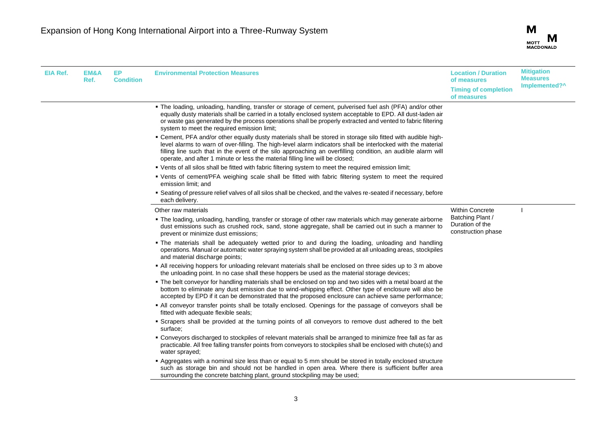

| EIA Ref. | EM&A<br>Ref. | EP.<br><b>Condition</b> | <b>Environmental Protection Measures</b>                                                                                                                                                                                                                                                                                                                                                                                     | <b>Location / Duration</b><br>of measures<br><b>Timing of completion</b><br>of measures | <b>Mitigation</b><br><b>Measures</b><br>Implemented?^ |
|----------|--------------|-------------------------|------------------------------------------------------------------------------------------------------------------------------------------------------------------------------------------------------------------------------------------------------------------------------------------------------------------------------------------------------------------------------------------------------------------------------|-----------------------------------------------------------------------------------------|-------------------------------------------------------|
|          |              |                         | • The loading, unloading, handling, transfer or storage of cement, pulverised fuel ash (PFA) and/or other<br>equally dusty materials shall be carried in a totally enclosed system acceptable to EPD. All dust-laden air<br>or waste gas generated by the process operations shall be properly extracted and vented to fabric filtering<br>system to meet the required emission limit;                                       |                                                                                         |                                                       |
|          |              |                         | - Cement, PFA and/or other equally dusty materials shall be stored in storage silo fitted with audible high-<br>level alarms to warn of over-filling. The high-level alarm indicators shall be interlocked with the material<br>filling line such that in the event of the silo approaching an overfilling condition, an audible alarm will<br>operate, and after 1 minute or less the material filling line will be closed; |                                                                                         |                                                       |
|          |              |                         | . Vents of all silos shall be fitted with fabric filtering system to meet the required emission limit;                                                                                                                                                                                                                                                                                                                       |                                                                                         |                                                       |
|          |              |                         | • Vents of cement/PFA weighing scale shall be fitted with fabric filtering system to meet the required<br>emission limit; and                                                                                                                                                                                                                                                                                                |                                                                                         |                                                       |
|          |              |                         | " Seating of pressure relief valves of all silos shall be checked, and the valves re-seated if necessary, before<br>each delivery.                                                                                                                                                                                                                                                                                           |                                                                                         |                                                       |
|          |              |                         | Other raw materials                                                                                                                                                                                                                                                                                                                                                                                                          | <b>Within Concrete</b>                                                                  |                                                       |
|          |              |                         | . The loading, unloading, handling, transfer or storage of other raw materials which may generate airborne<br>dust emissions such as crushed rock, sand, stone aggregate, shall be carried out in such a manner to<br>prevent or minimize dust emissions;                                                                                                                                                                    | Batching Plant /<br>Duration of the<br>construction phase                               |                                                       |
|          |              |                         | • The materials shall be adequately wetted prior to and during the loading, unloading and handling<br>operations. Manual or automatic water spraying system shall be provided at all unloading areas, stockpiles<br>and material discharge points;                                                                                                                                                                           |                                                                                         |                                                       |
|          |              |                         | • All receiving hoppers for unloading relevant materials shall be enclosed on three sides up to 3 m above<br>the unloading point. In no case shall these hoppers be used as the material storage devices;                                                                                                                                                                                                                    |                                                                                         |                                                       |
|          |              |                         | • The belt conveyor for handling materials shall be enclosed on top and two sides with a metal board at the<br>bottom to eliminate any dust emission due to wind-whipping effect. Other type of enclosure will also be<br>accepted by EPD if it can be demonstrated that the proposed enclosure can achieve same performance;                                                                                                |                                                                                         |                                                       |
|          |              |                         | . All conveyor transfer points shall be totally enclosed. Openings for the passage of conveyors shall be<br>fitted with adequate flexible seals;                                                                                                                                                                                                                                                                             |                                                                                         |                                                       |
|          |              |                         | • Scrapers shall be provided at the turning points of all conveyors to remove dust adhered to the belt<br>surface:                                                                                                                                                                                                                                                                                                           |                                                                                         |                                                       |
|          |              |                         | • Conveyors discharged to stockpiles of relevant materials shall be arranged to minimize free fall as far as<br>practicable. All free falling transfer points from conveyors to stockpiles shall be enclosed with chute(s) and<br>water sprayed;                                                                                                                                                                             |                                                                                         |                                                       |
|          |              |                         | Aggregates with a nominal size less than or equal to 5 mm should be stored in totally enclosed structure<br>such as storage bin and should not be handled in open area. Where there is sufficient buffer area<br>surrounding the concrete batching plant, ground stockpiling may be used;                                                                                                                                    |                                                                                         |                                                       |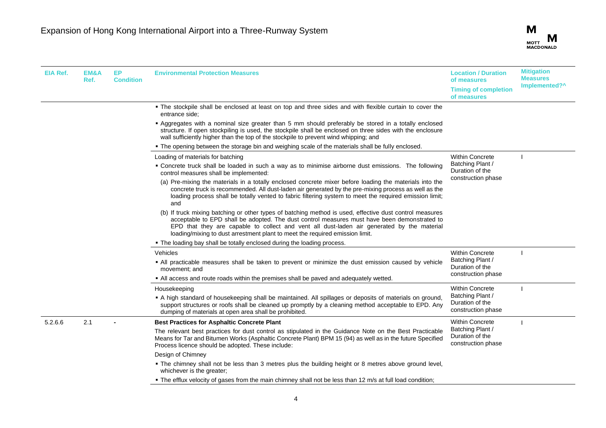

| EIA Ref. | <b>EM&amp;A</b><br>Ref. | EP.<br><b>Condition</b> | <b>Environmental Protection Measures</b>                                                                                                                                                                                                                                                                                                                                              | <b>Location / Duration</b><br>of measures<br><b>Timing of completion</b><br>of measures | <b>Mitigation</b><br><b>Measures</b><br>Implemented?^ |
|----------|-------------------------|-------------------------|---------------------------------------------------------------------------------------------------------------------------------------------------------------------------------------------------------------------------------------------------------------------------------------------------------------------------------------------------------------------------------------|-----------------------------------------------------------------------------------------|-------------------------------------------------------|
|          |                         |                         | . The stockpile shall be enclosed at least on top and three sides and with flexible curtain to cover the<br>entrance side:                                                                                                                                                                                                                                                            |                                                                                         |                                                       |
|          |                         |                         | - Aggregates with a nominal size greater than 5 mm should preferably be stored in a totally enclosed<br>structure. If open stockpiling is used, the stockpile shall be enclosed on three sides with the enclosure<br>wall sufficiently higher than the top of the stockpile to prevent wind whipping; and                                                                             |                                                                                         |                                                       |
|          |                         |                         | • The opening between the storage bin and weighing scale of the materials shall be fully enclosed.                                                                                                                                                                                                                                                                                    |                                                                                         |                                                       |
|          |                         |                         | Loading of materials for batching                                                                                                                                                                                                                                                                                                                                                     | <b>Within Concrete</b>                                                                  |                                                       |
|          |                         |                         | • Concrete truck shall be loaded in such a way as to minimise airborne dust emissions. The following<br>control measures shall be implemented:                                                                                                                                                                                                                                        | Batching Plant /<br>Duration of the                                                     |                                                       |
|          |                         |                         | (a) Pre-mixing the materials in a totally enclosed concrete mixer before loading the materials into the<br>concrete truck is recommended. All dust-laden air generated by the pre-mixing process as well as the<br>loading process shall be totally vented to fabric filtering system to meet the required emission limit;<br>and                                                     | construction phase                                                                      |                                                       |
|          |                         |                         | (b) If truck mixing batching or other types of batching method is used, effective dust control measures<br>acceptable to EPD shall be adopted. The dust control measures must have been demonstrated to<br>EPD that they are capable to collect and vent all dust-laden air generated by the material<br>loading/mixing to dust arrestment plant to meet the required emission limit. |                                                                                         |                                                       |
|          |                         |                         | . The loading bay shall be totally enclosed during the loading process.                                                                                                                                                                                                                                                                                                               |                                                                                         |                                                       |
|          |                         |                         | Vehicles                                                                                                                                                                                                                                                                                                                                                                              | <b>Within Concrete</b>                                                                  |                                                       |
|          |                         |                         | . All practicable measures shall be taken to prevent or minimize the dust emission caused by vehicle<br>movement; and                                                                                                                                                                                                                                                                 | Batching Plant /<br>Duration of the                                                     |                                                       |
|          |                         |                         | . All access and route roads within the premises shall be paved and adequately wetted.                                                                                                                                                                                                                                                                                                | construction phase                                                                      |                                                       |
|          |                         |                         | Housekeeping                                                                                                                                                                                                                                                                                                                                                                          | <b>Within Concrete</b>                                                                  |                                                       |
|          |                         |                         | A high standard of housekeeping shall be maintained. All spillages or deposits of materials on ground,<br>support structures or roofs shall be cleaned up promptly by a cleaning method acceptable to EPD. Any<br>dumping of materials at open area shall be prohibited.                                                                                                              | Batching Plant /<br>Duration of the<br>construction phase                               |                                                       |
| 5.2.6.6  | 2.1                     |                         | <b>Best Practices for Asphaltic Concrete Plant</b>                                                                                                                                                                                                                                                                                                                                    | <b>Within Concrete</b>                                                                  |                                                       |
|          |                         |                         | The relevant best practices for dust control as stipulated in the Guidance Note on the Best Practicable<br>Means for Tar and Bitumen Works (Asphaltic Concrete Plant) BPM 15 (94) as well as in the future Specified<br>Process licence should be adopted. These include:                                                                                                             | Batching Plant /<br>Duration of the<br>construction phase                               |                                                       |
|          |                         |                         | Design of Chimney                                                                                                                                                                                                                                                                                                                                                                     |                                                                                         |                                                       |
|          |                         |                         | . The chimney shall not be less than 3 metres plus the building height or 8 metres above ground level,<br>whichever is the greater;                                                                                                                                                                                                                                                   |                                                                                         |                                                       |
|          |                         |                         | . The efflux velocity of gases from the main chimney shall not be less than 12 m/s at full load condition;                                                                                                                                                                                                                                                                            |                                                                                         |                                                       |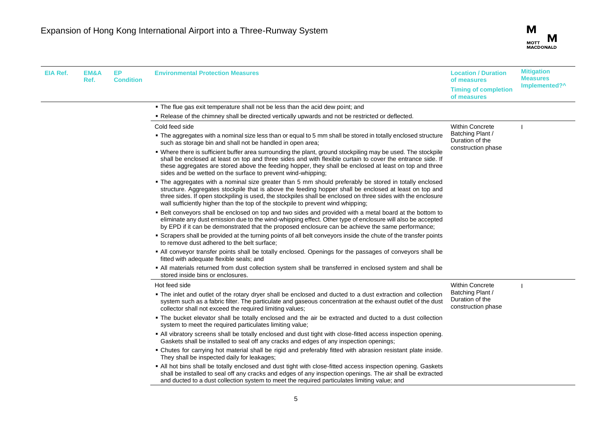

| EIA Ref. | EM&A<br>Ref. | EP.<br><b>Condition</b> | <b>Environmental Protection Measures</b>                                                                                                                                                                                                                                                                                                                                                                             | <b>Location / Duration</b><br>of measures                 | <b>Mitigation</b><br><b>Measures</b> |
|----------|--------------|-------------------------|----------------------------------------------------------------------------------------------------------------------------------------------------------------------------------------------------------------------------------------------------------------------------------------------------------------------------------------------------------------------------------------------------------------------|-----------------------------------------------------------|--------------------------------------|
|          |              |                         |                                                                                                                                                                                                                                                                                                                                                                                                                      | <b>Timing of completion</b><br>of measures                | Implemented?^                        |
|          |              |                         | . The flue gas exit temperature shall not be less than the acid dew point; and                                                                                                                                                                                                                                                                                                                                       |                                                           |                                      |
|          |              |                         | . Release of the chimney shall be directed vertically upwards and not be restricted or deflected.                                                                                                                                                                                                                                                                                                                    |                                                           |                                      |
|          |              |                         | Cold feed side                                                                                                                                                                                                                                                                                                                                                                                                       | <b>Within Concrete</b>                                    |                                      |
|          |              |                         | • The aggregates with a nominal size less than or equal to 5 mm shall be stored in totally enclosed structure<br>such as storage bin and shall not be handled in open area;                                                                                                                                                                                                                                          | Batching Plant /<br>Duration of the<br>construction phase |                                      |
|          |              |                         | • Where there is sufficient buffer area surrounding the plant, ground stockpiling may be used. The stockpile<br>shall be enclosed at least on top and three sides and with flexible curtain to cover the entrance side. If<br>these aggregates are stored above the feeding hopper, they shall be enclosed at least on top and three<br>sides and be wetted on the surface to prevent wind-whipping;                 |                                                           |                                      |
|          |              |                         | • The aggregates with a nominal size greater than 5 mm should preferably be stored in totally enclosed<br>structure. Aggregates stockpile that is above the feeding hopper shall be enclosed at least on top and<br>three sides. If open stockpiling is used, the stockpiles shall be enclosed on three sides with the enclosure<br>wall sufficiently higher than the top of the stockpile to prevent wind whipping; |                                                           |                                      |
|          |              |                         | . Belt conveyors shall be enclosed on top and two sides and provided with a metal board at the bottom to<br>eliminate any dust emission due to the wind-whipping effect. Other type of enclosure will also be accepted<br>by EPD if it can be demonstrated that the proposed enclosure can be achieve the same performance;                                                                                          |                                                           |                                      |
|          |              |                         | • Scrapers shall be provided at the turning points of all belt conveyors inside the chute of the transfer points<br>to remove dust adhered to the belt surface;                                                                                                                                                                                                                                                      |                                                           |                                      |
|          |              |                         | • All conveyor transfer points shall be totally enclosed. Openings for the passages of conveyors shall be<br>fitted with adequate flexible seals; and                                                                                                                                                                                                                                                                |                                                           |                                      |
|          |              |                         | . All materials returned from dust collection system shall be transferred in enclosed system and shall be<br>stored inside bins or enclosures.                                                                                                                                                                                                                                                                       |                                                           |                                      |
|          |              |                         | Hot feed side                                                                                                                                                                                                                                                                                                                                                                                                        | <b>Within Concrete</b>                                    |                                      |
|          |              |                         | • The inlet and outlet of the rotary dryer shall be enclosed and ducted to a dust extraction and collection<br>system such as a fabric filter. The particulate and gaseous concentration at the exhaust outlet of the dust<br>collector shall not exceed the required limiting values;                                                                                                                               | Batching Plant /<br>Duration of the<br>construction phase |                                      |
|          |              |                         | • The bucket elevator shall be totally enclosed and the air be extracted and ducted to a dust collection<br>system to meet the required particulates limiting value;                                                                                                                                                                                                                                                 |                                                           |                                      |
|          |              |                         | . All vibratory screens shall be totally enclosed and dust tight with close-fitted access inspection opening.<br>Gaskets shall be installed to seal off any cracks and edges of any inspection openings;                                                                                                                                                                                                             |                                                           |                                      |
|          |              |                         | . Chutes for carrying hot material shall be rigid and preferably fitted with abrasion resistant plate inside.<br>They shall be inspected daily for leakages;                                                                                                                                                                                                                                                         |                                                           |                                      |
|          |              |                         | • All hot bins shall be totally enclosed and dust tight with close-fitted access inspection opening. Gaskets<br>shall be installed to seal off any cracks and edges of any inspection openings. The air shall be extracted<br>and ducted to a dust collection system to meet the required particulates limiting value; and                                                                                           |                                                           |                                      |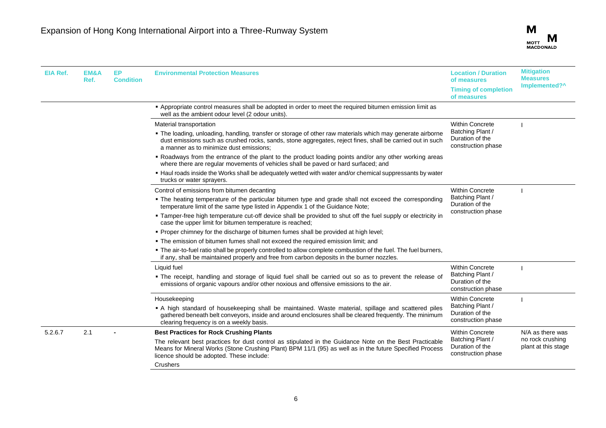

| <b>EIA Ref.</b> | EM&A<br>Ref. | EP.<br><b>Condition</b> | <b>Environmental Protection Measures</b>                                                                                                                                                                                                                           | <b>Location / Duration</b><br>of measures<br><b>Timing of completion</b><br>of measures | <b>Mitigation</b><br><b>Measures</b><br>Implemented?^ |
|-----------------|--------------|-------------------------|--------------------------------------------------------------------------------------------------------------------------------------------------------------------------------------------------------------------------------------------------------------------|-----------------------------------------------------------------------------------------|-------------------------------------------------------|
|                 |              |                         | - Appropriate control measures shall be adopted in order to meet the required bitumen emission limit as<br>well as the ambient odour level (2 odour units).                                                                                                        |                                                                                         |                                                       |
|                 |              |                         | Material transportation                                                                                                                                                                                                                                            | <b>Within Concrete</b>                                                                  |                                                       |
|                 |              |                         | . The loading, unloading, handling, transfer or storage of other raw materials which may generate airborne<br>dust emissions such as crushed rocks, sands, stone aggregates, reject fines, shall be carried out in such<br>a manner as to minimize dust emissions: | Batching Plant /<br>Duration of the<br>construction phase                               |                                                       |
|                 |              |                         | . Roadways from the entrance of the plant to the product loading points and/or any other working areas<br>where there are regular movements of vehicles shall be paved or hard surfaced; and                                                                       |                                                                                         |                                                       |
|                 |              |                         | . Haul roads inside the Works shall be adequately wetted with water and/or chemical suppressants by water<br>trucks or water sprayers.                                                                                                                             |                                                                                         |                                                       |
|                 |              |                         | Control of emissions from bitumen decanting                                                                                                                                                                                                                        | <b>Within Concrete</b>                                                                  |                                                       |
|                 |              |                         | . The heating temperature of the particular bitumen type and grade shall not exceed the corresponding<br>temperature limit of the same type listed in Appendix 1 of the Guidance Note;                                                                             | Batching Plant /<br>Duration of the                                                     |                                                       |
|                 |              |                         | " Tamper-free high temperature cut-off device shall be provided to shut off the fuel supply or electricity in<br>case the upper limit for bitumen temperature is reached;                                                                                          | construction phase                                                                      |                                                       |
|                 |              |                         | . Proper chimney for the discharge of bitumen fumes shall be provided at high level;                                                                                                                                                                               |                                                                                         |                                                       |
|                 |              |                         | . The emission of bitumen fumes shall not exceed the required emission limit; and                                                                                                                                                                                  |                                                                                         |                                                       |
|                 |              |                         | . The air-to-fuel ratio shall be properly controlled to allow complete combustion of the fuel. The fuel burners,<br>if any, shall be maintained properly and free from carbon deposits in the burner nozzles.                                                      |                                                                                         |                                                       |
|                 |              |                         | Liquid fuel                                                                                                                                                                                                                                                        | <b>Within Concrete</b>                                                                  |                                                       |
|                 |              |                         | • The receipt, handling and storage of liquid fuel shall be carried out so as to prevent the release of<br>emissions of organic vapours and/or other noxious and offensive emissions to the air.                                                                   | Batching Plant /<br>Duration of the<br>construction phase                               |                                                       |
|                 |              |                         | Housekeeping                                                                                                                                                                                                                                                       | <b>Within Concrete</b>                                                                  |                                                       |
|                 |              |                         | A high standard of housekeeping shall be maintained. Waste material, spillage and scattered piles<br>gathered beneath belt conveyors, inside and around enclosures shall be cleared frequently. The minimum<br>clearing frequency is on a weekly basis.            | Batching Plant /<br>Duration of the<br>construction phase                               |                                                       |
| 5.2.6.7         | 2.1          |                         | <b>Best Practices for Rock Crushing Plants</b>                                                                                                                                                                                                                     | <b>Within Concrete</b>                                                                  | N/A as there was                                      |
|                 |              |                         | The relevant best practices for dust control as stipulated in the Guidance Note on the Best Practicable<br>Means for Mineral Works (Stone Crushing Plant) BPM 11/1 (95) as well as in the future Specified Process<br>licence should be adopted. These include:    | Batching Plant /<br>Duration of the<br>construction phase                               | no rock crushing<br>plant at this stage               |
|                 |              |                         | Crushers                                                                                                                                                                                                                                                           |                                                                                         |                                                       |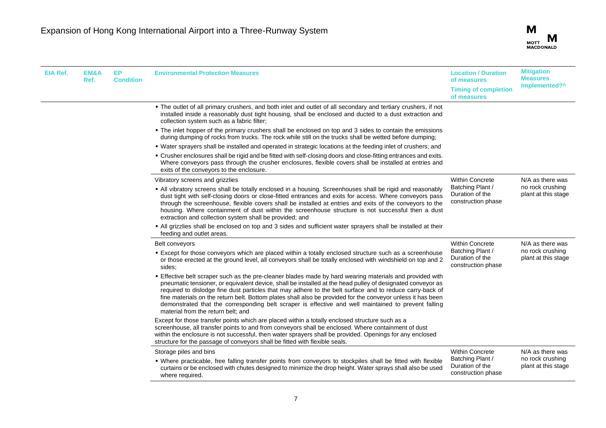

| EIA Ref. | EM&A<br>Ref. | EP.<br><b>Condition</b>         | <b>Environmental Protection Measures</b>                                                                                                                                                                                                                                                                                                                                                                                                                                                                                                                                                      | <b>Location / Duration</b><br>of measures<br><b>Timing of completion</b><br>of measures | <b>Mitigation</b><br><b>Measures</b><br>Implemented?^ |
|----------|--------------|---------------------------------|-----------------------------------------------------------------------------------------------------------------------------------------------------------------------------------------------------------------------------------------------------------------------------------------------------------------------------------------------------------------------------------------------------------------------------------------------------------------------------------------------------------------------------------------------------------------------------------------------|-----------------------------------------------------------------------------------------|-------------------------------------------------------|
|          |              |                                 | • The outlet of all primary crushers, and both inlet and outlet of all secondary and tertiary crushers, if not<br>installed inside a reasonably dust tight housing, shall be enclosed and ducted to a dust extraction and<br>collection system such as a fabric filter;                                                                                                                                                                                                                                                                                                                       |                                                                                         |                                                       |
|          |              |                                 | • The inlet hopper of the primary crushers shall be enclosed on top and 3 sides to contain the emissions<br>during dumping of rocks from trucks. The rock while still on the trucks shall be wetted before dumping;                                                                                                                                                                                                                                                                                                                                                                           |                                                                                         |                                                       |
|          |              |                                 | • Water sprayers shall be installed and operated in strategic locations at the feeding inlet of crushers; and                                                                                                                                                                                                                                                                                                                                                                                                                                                                                 |                                                                                         |                                                       |
|          |              |                                 | . Crusher enclosures shall be rigid and be fitted with self-closing doors and close-fitting entrances and exits.<br>Where conveyors pass through the crusher enclosures, flexible covers shall be installed at entries and<br>exits of the conveyors to the enclosure.                                                                                                                                                                                                                                                                                                                        |                                                                                         |                                                       |
|          |              | Vibratory screens and grizzlies | <b>Within Concrete</b>                                                                                                                                                                                                                                                                                                                                                                                                                                                                                                                                                                        | N/A as there was                                                                        |                                                       |
|          |              |                                 | • All vibratory screens shall be totally enclosed in a housing. Screenhouses shall be rigid and reasonably<br>dust tight with self-closing doors or close-fitted entrances and exits for access. Where conveyors pass<br>through the screenhouse, flexible covers shall be installed at entries and exits of the conveyors to the<br>housing. Where containment of dust within the screenhouse structure is not successful then a dust<br>extraction and collection system shall be provided; and                                                                                             | Batching Plant /<br>Duration of the<br>construction phase                               | no rock crushing<br>plant at this stage               |
|          |              |                                 | • All grizzlies shall be enclosed on top and 3 sides and sufficient water sprayers shall be installed at their<br>feeding and outlet areas.                                                                                                                                                                                                                                                                                                                                                                                                                                                   |                                                                                         |                                                       |
|          |              |                                 | Belt conveyors                                                                                                                                                                                                                                                                                                                                                                                                                                                                                                                                                                                | <b>Within Concrete</b>                                                                  | N/A as there was                                      |
|          |              |                                 | Except for those conveyors which are placed within a totally enclosed structure such as a screenhouse<br>or those erected at the ground level, all conveyors shall be totally enclosed with windshield on top and 2<br>sides:                                                                                                                                                                                                                                                                                                                                                                 | Batching Plant /<br>Duration of the<br>construction phase                               | no rock crushing<br>plant at this stage               |
|          |              |                                 | Effective belt scraper such as the pre-cleaner blades made by hard wearing materials and provided with<br>pneumatic tensioner, or equivalent device, shall be installed at the head pulley of designated conveyor as<br>required to dislodge fine dust particles that may adhere to the belt surface and to reduce carry-back of<br>fine materials on the return belt. Bottom plates shall also be provided for the conveyor unless it has been<br>demonstrated that the corresponding belt scraper is effective and well maintained to prevent falling<br>material from the return belt; and |                                                                                         |                                                       |
|          |              |                                 | Except for those transfer points which are placed within a totally enclosed structure such as a<br>screenhouse, all transfer points to and from conveyors shall be enclosed. Where containment of dust<br>within the enclosure is not successful, then water sprayers shall be provided. Openings for any enclosed<br>structure for the passage of conveyors shall be fitted with flexible seals.                                                                                                                                                                                             |                                                                                         |                                                       |
|          |              |                                 | Storage piles and bins                                                                                                                                                                                                                                                                                                                                                                                                                                                                                                                                                                        | Within Concrete                                                                         | N/A as there was                                      |
|          |              |                                 | . Where practicable, free falling transfer points from conveyors to stockpiles shall be fitted with flexible<br>curtains or be enclosed with chutes designed to minimize the drop height. Water sprays shall also be used<br>where required.                                                                                                                                                                                                                                                                                                                                                  | Batching Plant /<br>Duration of the<br>construction phase                               | no rock crushing<br>plant at this stage               |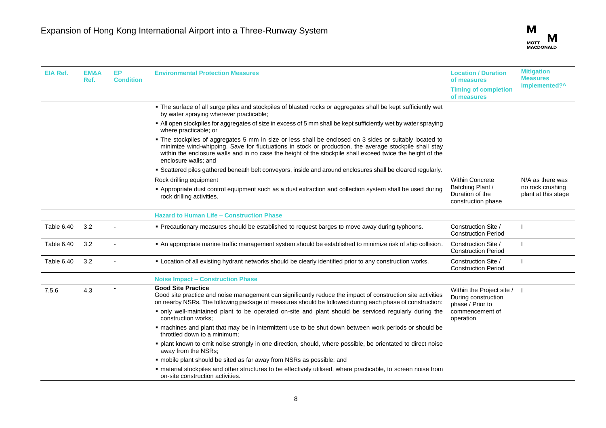

| EIA Ref.   | EM&A<br>Ref. | EP<br><b>Condition</b> | <b>Environmental Protection Measures</b>                                                                                                                                                                                                                                                                                                              | <b>Location / Duration</b><br>of measures<br><b>Timing of completion</b><br>of measures | <b>Mitigation</b><br><b>Measures</b><br>Implemented?^ |
|------------|--------------|------------------------|-------------------------------------------------------------------------------------------------------------------------------------------------------------------------------------------------------------------------------------------------------------------------------------------------------------------------------------------------------|-----------------------------------------------------------------------------------------|-------------------------------------------------------|
|            |              |                        | • The surface of all surge piles and stockpiles of blasted rocks or aggregates shall be kept sufficiently wet<br>by water spraying wherever practicable;                                                                                                                                                                                              |                                                                                         |                                                       |
|            |              |                        | • All open stockpiles for aggregates of size in excess of 5 mm shall be kept sufficiently wet by water spraying<br>where practicable; or                                                                                                                                                                                                              |                                                                                         |                                                       |
|            |              |                        | The stockpiles of aggregates 5 mm in size or less shall be enclosed on 3 sides or suitably located to<br>minimize wind-whipping. Save for fluctuations in stock or production, the average stockpile shall stay<br>within the enclosure walls and in no case the height of the stockpile shall exceed twice the height of the<br>enclosure walls: and |                                                                                         |                                                       |
|            |              |                        | • Scattered piles gathered beneath belt conveyors, inside and around enclosures shall be cleared regularly.                                                                                                                                                                                                                                           |                                                                                         |                                                       |
|            |              |                        | Rock drilling equipment                                                                                                                                                                                                                                                                                                                               | <b>Within Concrete</b>                                                                  | N/A as there was                                      |
|            |              |                        | - Appropriate dust control equipment such as a dust extraction and collection system shall be used during<br>rock drilling activities.                                                                                                                                                                                                                | Batching Plant /<br>Duration of the<br>construction phase                               | no rock crushing<br>plant at this stage               |
|            |              |                        | <b>Hazard to Human Life - Construction Phase</b>                                                                                                                                                                                                                                                                                                      |                                                                                         |                                                       |
| Table 6.40 | 3.2          |                        | . Precautionary measures should be established to request barges to move away during typhoons.                                                                                                                                                                                                                                                        | Construction Site /<br><b>Construction Period</b>                                       |                                                       |
| Table 6.40 | 3.2          |                        | . An appropriate marine traffic management system should be established to minimize risk of ship collision.                                                                                                                                                                                                                                           | Construction Site /<br><b>Construction Period</b>                                       |                                                       |
| Table 6.40 | 3.2          |                        | . Location of all existing hydrant networks should be clearly identified prior to any construction works.                                                                                                                                                                                                                                             | Construction Site /<br><b>Construction Period</b>                                       |                                                       |
|            |              |                        | <b>Noise Impact - Construction Phase</b>                                                                                                                                                                                                                                                                                                              |                                                                                         |                                                       |
| 7.5.6      | 4.3          |                        | <b>Good Site Practice</b><br>Good site practice and noise management can significantly reduce the impact of construction site activities<br>on nearby NSRs. The following package of measures should be followed during each phase of construction:                                                                                                   | Within the Project site /  <br>During construction<br>phase / Prior to                  |                                                       |
|            |              |                        | • only well-maintained plant to be operated on-site and plant should be serviced regularly during the<br>construction works:                                                                                                                                                                                                                          | commencement of<br>operation                                                            |                                                       |
|            |              |                        | " machines and plant that may be in intermittent use to be shut down between work periods or should be<br>throttled down to a minimum;                                                                                                                                                                                                                |                                                                                         |                                                       |
|            |              |                        | · plant known to emit noise strongly in one direction, should, where possible, be orientated to direct noise<br>away from the NSRs:                                                                                                                                                                                                                   |                                                                                         |                                                       |
|            |              |                        | • mobile plant should be sited as far away from NSRs as possible; and                                                                                                                                                                                                                                                                                 |                                                                                         |                                                       |
|            |              |                        | " material stockpiles and other structures to be effectively utilised, where practicable, to screen noise from<br>on-site construction activities.                                                                                                                                                                                                    |                                                                                         |                                                       |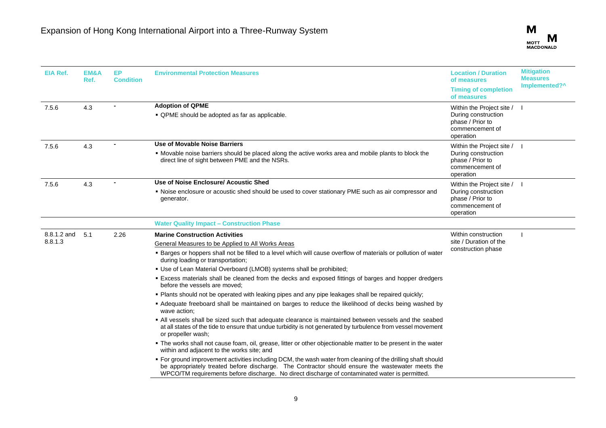| <b>EIA Ref.</b>        | EM&A<br>Ref. | EP.<br><b>Condition</b> | <b>Environmental Protection Measures</b>                                                                                                                                                                                                                                                                                                                                                                                                                                                                                                                                                                                                                                                                                                                                                                                                                                                                                                            | <b>Location / Duration</b><br>of measures<br><b>Timing of completion</b><br>of measures                | <b>Mitigation</b><br><b>Measures</b><br>Implemented?^ |
|------------------------|--------------|-------------------------|-----------------------------------------------------------------------------------------------------------------------------------------------------------------------------------------------------------------------------------------------------------------------------------------------------------------------------------------------------------------------------------------------------------------------------------------------------------------------------------------------------------------------------------------------------------------------------------------------------------------------------------------------------------------------------------------------------------------------------------------------------------------------------------------------------------------------------------------------------------------------------------------------------------------------------------------------------|--------------------------------------------------------------------------------------------------------|-------------------------------------------------------|
| 7.5.6                  | 4.3          |                         | <b>Adoption of QPME</b><br>• QPME should be adopted as far as applicable.                                                                                                                                                                                                                                                                                                                                                                                                                                                                                                                                                                                                                                                                                                                                                                                                                                                                           | Within the Project site / I<br>During construction<br>phase / Prior to<br>commencement of<br>operation |                                                       |
| 7.5.6                  | 4.3          |                         | Use of Movable Noise Barriers<br>• Movable noise barriers should be placed along the active works area and mobile plants to block the<br>direct line of sight between PME and the NSRs.                                                                                                                                                                                                                                                                                                                                                                                                                                                                                                                                                                                                                                                                                                                                                             | Within the Project site / I<br>During construction<br>phase / Prior to<br>commencement of<br>operation |                                                       |
| 7.5.6                  | 4.3          |                         | Use of Noise Enclosure/ Acoustic Shed<br>• Noise enclosure or acoustic shed should be used to cover stationary PME such as air compressor and<br>generator.                                                                                                                                                                                                                                                                                                                                                                                                                                                                                                                                                                                                                                                                                                                                                                                         | Within the Project site / I<br>During construction<br>phase / Prior to<br>commencement of<br>operation |                                                       |
|                        |              |                         | <b>Water Quality Impact - Construction Phase</b>                                                                                                                                                                                                                                                                                                                                                                                                                                                                                                                                                                                                                                                                                                                                                                                                                                                                                                    |                                                                                                        |                                                       |
| 8.8.1.2 and<br>8.8.1.3 | 5.1          | 2.26                    | <b>Marine Construction Activities</b><br>General Measures to be Applied to All Works Areas<br>• Barges or hoppers shall not be filled to a level which will cause overflow of materials or pollution of water<br>during loading or transportation;<br>• Use of Lean Material Overboard (LMOB) systems shall be prohibited;<br>. Excess materials shall be cleaned from the decks and exposed fittings of barges and hopper dredgers<br>before the vessels are moved:<br>. Plants should not be operated with leaking pipes and any pipe leakages shall be repaired quickly;<br>• Adequate freeboard shall be maintained on barges to reduce the likelihood of decks being washed by<br>wave action:<br>• All vessels shall be sized such that adequate clearance is maintained between vessels and the seabed<br>at all states of the tide to ensure that undue turbidity is not generated by turbulence from vessel movement<br>or propeller wash; | Within construction<br>site / Duration of the<br>construction phase                                    |                                                       |
|                        |              |                         | • The works shall not cause foam, oil, grease, litter or other objectionable matter to be present in the water<br>within and adjacent to the works site; and<br>• For ground improvement activities including DCM, the wash water from cleaning of the drilling shaft should<br>be appropriately treated before discharge. The Contractor should ensure the wastewater meets the<br>WPCO/TM requirements before discharge. No direct discharge of contaminated water is permitted.                                                                                                                                                                                                                                                                                                                                                                                                                                                                  |                                                                                                        |                                                       |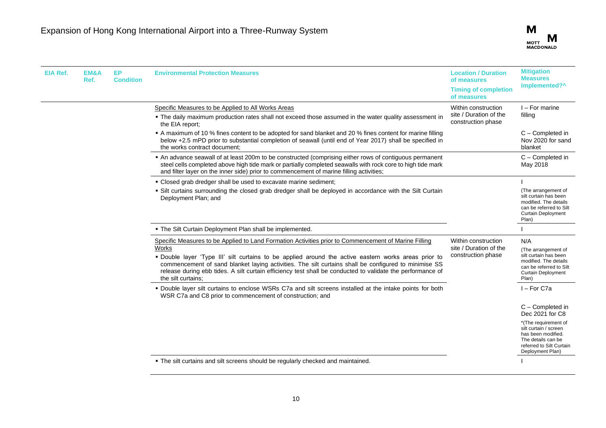

| <b>EIA Ref.</b> | EM&A<br>Ref. | EP<br><b>Condition</b> | <b>Environmental Protection Measures</b>                                                                                                                                                                                                                                                                                                                                                                                                                          | <b>Location / Duration</b><br>of measures<br><b>Timing of completion</b><br>of measures | <b>Mitigation</b><br><b>Measures</b><br>Implemented?^                                                                                                                            |
|-----------------|--------------|------------------------|-------------------------------------------------------------------------------------------------------------------------------------------------------------------------------------------------------------------------------------------------------------------------------------------------------------------------------------------------------------------------------------------------------------------------------------------------------------------|-----------------------------------------------------------------------------------------|----------------------------------------------------------------------------------------------------------------------------------------------------------------------------------|
|                 |              |                        | Specific Measures to be Applied to All Works Areas<br>. The daily maximum production rates shall not exceed those assumed in the water quality assessment in<br>the EIA report;                                                                                                                                                                                                                                                                                   | Within construction<br>site / Duration of the<br>construction phase                     | I - For marine<br>filling                                                                                                                                                        |
|                 |              |                        | A maximum of 10 % fines content to be adopted for sand blanket and 20 % fines content for marine filling<br>below +2.5 mPD prior to substantial completion of seawall (until end of Year 2017) shall be specified in<br>the works contract document:                                                                                                                                                                                                              |                                                                                         | C - Completed in<br>Nov 2020 for sand<br>blanket                                                                                                                                 |
|                 |              |                        | • An advance seawall of at least 200m to be constructed (comprising either rows of contiguous permanent<br>steel cells completed above high tide mark or partially completed seawalls with rock core to high tide mark<br>and filter layer on the inner side) prior to commencement of marine filling activities;                                                                                                                                                 |                                                                                         | C - Completed in<br>May 2018                                                                                                                                                     |
|                 |              |                        | • Closed grab dredger shall be used to excavate marine sediment;                                                                                                                                                                                                                                                                                                                                                                                                  |                                                                                         |                                                                                                                                                                                  |
|                 |              |                        | • Silt curtains surrounding the closed grab dredger shall be deployed in accordance with the Silt Curtain<br>Deployment Plan; and                                                                                                                                                                                                                                                                                                                                 |                                                                                         | (The arrangement of<br>silt curtain has been<br>modified. The details<br>can be referred to Silt<br>Curtain Deployment<br>Plan)                                                  |
|                 |              |                        | . The Silt Curtain Deployment Plan shall be implemented.                                                                                                                                                                                                                                                                                                                                                                                                          |                                                                                         |                                                                                                                                                                                  |
|                 |              |                        | Specific Measures to be Applied to Land Formation Activities prior to Commencement of Marine Filling<br>Works<br>. Double layer 'Type III' silt curtains to be applied around the active eastern works areas prior to<br>commencement of sand blanket laying activities. The silt curtains shall be configured to minimise SS<br>release during ebb tides. A silt curtain efficiency test shall be conducted to validate the performance of<br>the silt curtains: | Within construction<br>site / Duration of the<br>construction phase                     | N/A<br>(The arrangement of<br>silt curtain has been<br>modified. The details<br>can be referred to Silt<br><b>Curtain Deployment</b><br>Plan)                                    |
|                 |              |                        | . Double layer silt curtains to enclose WSRs C7a and silt screens installed at the intake points for both<br>WSR C7a and C8 prior to commencement of construction; and                                                                                                                                                                                                                                                                                            |                                                                                         | I-For C7a                                                                                                                                                                        |
|                 |              |                        |                                                                                                                                                                                                                                                                                                                                                                                                                                                                   |                                                                                         | C - Completed in<br>Dec 2021 for C8<br>*(The requirement of<br>silt curtain / screen<br>has been modified.<br>The details can be<br>referred to Silt Curtain<br>Deployment Plan) |
|                 |              |                        | . The silt curtains and silt screens should be regularly checked and maintained.                                                                                                                                                                                                                                                                                                                                                                                  |                                                                                         |                                                                                                                                                                                  |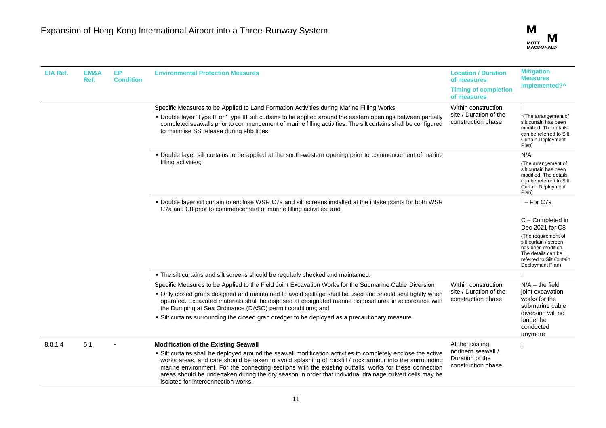

| <b>EIA Ref.</b> | EM&A<br>Ref. | EP.<br><b>Condition</b> | <b>Environmental Protection Measures</b>                                                                                                                                                                                                                                                                                                                                                                                                                                                                                            | <b>Location / Duration</b><br>of measures<br><b>Timing of completion</b><br>of measures | <b>Mitigation</b><br><b>Measures</b><br>Implemented?^                                                                                                                           |
|-----------------|--------------|-------------------------|-------------------------------------------------------------------------------------------------------------------------------------------------------------------------------------------------------------------------------------------------------------------------------------------------------------------------------------------------------------------------------------------------------------------------------------------------------------------------------------------------------------------------------------|-----------------------------------------------------------------------------------------|---------------------------------------------------------------------------------------------------------------------------------------------------------------------------------|
|                 |              |                         | Specific Measures to be Applied to Land Formation Activities during Marine Filling Works<br>• Double layer 'Type II' or 'Type III' silt curtains to be applied around the eastern openings between partially<br>completed seawalls prior to commencement of marine filling activities. The silt curtains shall be configured<br>to minimise SS release during ebb tides;                                                                                                                                                            | Within construction<br>site / Duration of the<br>construction phase                     | *(The arrangement of<br>silt curtain has been<br>modified. The details<br>can be referred to Silt<br><b>Curtain Deployment</b><br>Plan)                                         |
|                 |              |                         | • Double layer silt curtains to be applied at the south-western opening prior to commencement of marine<br>filling activities;                                                                                                                                                                                                                                                                                                                                                                                                      |                                                                                         | N/A<br>(The arrangement of<br>silt curtain has been<br>modified. The details<br>can be referred to Silt<br><b>Curtain Deployment</b><br>Plan)                                   |
|                 |              |                         | " Double layer silt curtain to enclose WSR C7a and silt screens installed at the intake points for both WSR<br>C7a and C8 prior to commencement of marine filling activities; and                                                                                                                                                                                                                                                                                                                                                   |                                                                                         | I-For C7a                                                                                                                                                                       |
|                 |              |                         |                                                                                                                                                                                                                                                                                                                                                                                                                                                                                                                                     |                                                                                         | C - Completed in<br>Dec 2021 for C8<br>(The requirement of<br>silt curtain / screen<br>has been modified.<br>The details can be<br>referred to Silt Curtain<br>Deployment Plan) |
|                 |              |                         | • The silt curtains and silt screens should be regularly checked and maintained.                                                                                                                                                                                                                                                                                                                                                                                                                                                    |                                                                                         |                                                                                                                                                                                 |
|                 |              |                         | Specific Measures to be Applied to the Field Joint Excavation Works for the Submarine Cable Diversion<br>. Only closed grabs designed and maintained to avoid spillage shall be used and should seal tightly when<br>operated. Excavated materials shall be disposed at designated marine disposal area in accordance with<br>the Dumping at Sea Ordinance (DASO) permit conditions; and<br>. Silt curtains surrounding the closed grab dredger to be deployed as a precautionary measure.                                          | Within construction<br>site / Duration of the<br>construction phase                     | $N/A -$ the field<br>joint excavation<br>works for the<br>submarine cable<br>diversion will no<br>longer be<br>conducted<br>anymore                                             |
| 8.8.1.4         | 5.1          |                         | <b>Modification of the Existing Seawall</b><br>• Silt curtains shall be deployed around the seawall modification activities to completely enclose the active<br>works areas, and care should be taken to avoid splashing of rockfill / rock armour into the surrounding<br>marine environment. For the connecting sections with the existing outfalls, works for these connection<br>areas should be undertaken during the dry season in order that individual drainage culvert cells may be<br>isolated for interconnection works. | At the existing<br>northern seawall /<br>Duration of the<br>construction phase          |                                                                                                                                                                                 |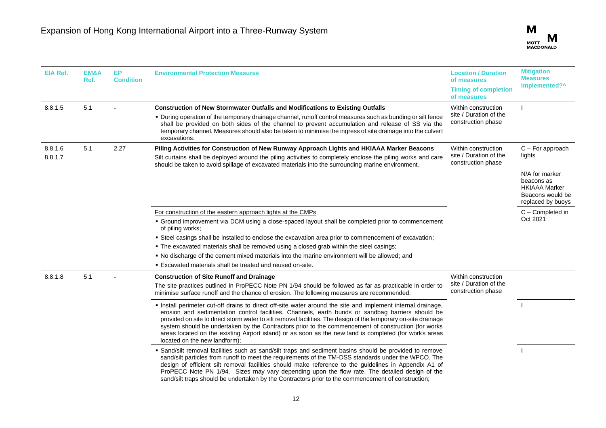| EIA Ref. | EM&A<br>Ref. | EP<br><b>Condition</b> | <b>Environmental Protection Measures</b>                                                                                                                                                                                                                                                                                                                                                                                                                                                                                                                                             | <b>Location / Duration</b><br>of measures<br><b>Timing of completion</b><br>of measures | <b>Mitigation</b><br><b>Measures</b><br>Implemented?^                                         |
|----------|--------------|------------------------|--------------------------------------------------------------------------------------------------------------------------------------------------------------------------------------------------------------------------------------------------------------------------------------------------------------------------------------------------------------------------------------------------------------------------------------------------------------------------------------------------------------------------------------------------------------------------------------|-----------------------------------------------------------------------------------------|-----------------------------------------------------------------------------------------------|
| 8.8.1.5  | 5.1          |                        | <b>Construction of New Stormwater Outfalls and Modifications to Existing Outfalls</b><br>• During operation of the temporary drainage channel, runoff control measures such as bunding or silt fence<br>shall be provided on both sides of the channel to prevent accumulation and release of SS via the<br>temporary channel. Measures should also be taken to minimise the ingress of site drainage into the culvert<br>excavations.                                                                                                                                               | Within construction<br>site / Duration of the<br>construction phase                     |                                                                                               |
| 8.8.1.6  | 5.1          | 2.27                   | Piling Activities for Construction of New Runway Approach Lights and HKIAAA Marker Beacons                                                                                                                                                                                                                                                                                                                                                                                                                                                                                           | Within construction                                                                     | $C$ – For approach                                                                            |
| 8.8.1.7  |              |                        | Silt curtains shall be deployed around the piling activities to completely enclose the piling works and care<br>should be taken to avoid spillage of excavated materials into the surrounding marine environment.                                                                                                                                                                                                                                                                                                                                                                    | site / Duration of the<br>construction phase                                            | lights                                                                                        |
|          |              |                        |                                                                                                                                                                                                                                                                                                                                                                                                                                                                                                                                                                                      |                                                                                         | N/A for marker<br>beacons as<br><b>HKIAAA Marker</b><br>Beacons would be<br>replaced by buoys |
|          |              |                        | For construction of the eastern approach lights at the CMPs                                                                                                                                                                                                                                                                                                                                                                                                                                                                                                                          |                                                                                         | C - Completed in                                                                              |
|          |              |                        | • Ground improvement via DCM using a close-spaced layout shall be completed prior to commencement<br>of piling works;                                                                                                                                                                                                                                                                                                                                                                                                                                                                |                                                                                         | Oct 2021                                                                                      |
|          |              |                        | " Steel casings shall be installed to enclose the excavation area prior to commencement of excavation;                                                                                                                                                                                                                                                                                                                                                                                                                                                                               |                                                                                         |                                                                                               |
|          |              |                        | . The excavated materials shall be removed using a closed grab within the steel casings;                                                                                                                                                                                                                                                                                                                                                                                                                                                                                             |                                                                                         |                                                                                               |
|          |              |                        | . No discharge of the cement mixed materials into the marine environment will be allowed; and                                                                                                                                                                                                                                                                                                                                                                                                                                                                                        |                                                                                         |                                                                                               |
|          |              |                        | . Excavated materials shall be treated and reused on-site.                                                                                                                                                                                                                                                                                                                                                                                                                                                                                                                           |                                                                                         |                                                                                               |
| 8.8.1.8  | 5.1          |                        | <b>Construction of Site Runoff and Drainage</b>                                                                                                                                                                                                                                                                                                                                                                                                                                                                                                                                      | Within construction<br>site / Duration of the<br>construction phase                     |                                                                                               |
|          |              |                        | The site practices outlined in ProPECC Note PN 1/94 should be followed as far as practicable in order to<br>minimise surface runoff and the chance of erosion. The following measures are recommended:                                                                                                                                                                                                                                                                                                                                                                               |                                                                                         |                                                                                               |
|          |              |                        | Install perimeter cut-off drains to direct off-site water around the site and implement internal drainage,<br>erosion and sedimentation control facilities. Channels, earth bunds or sandbag barriers should be<br>provided on site to direct storm water to silt removal facilities. The design of the temporary on-site drainage<br>system should be undertaken by the Contractors prior to the commencement of construction (for works<br>areas located on the existing Airport island) or as soon as the new land is completed (for works areas<br>located on the new landform); |                                                                                         |                                                                                               |
|          |              |                        | · Sand/silt removal facilities such as sand/silt traps and sediment basins should be provided to remove<br>sand/silt particles from runoff to meet the requirements of the TM-DSS standards under the WPCO. The<br>design of efficient silt removal facilities should make reference to the quidelines in Appendix A1 of<br>ProPECC Note PN 1/94. Sizes may vary depending upon the flow rate. The detailed design of the<br>sand/silt traps should be undertaken by the Contractors prior to the commencement of construction;                                                      |                                                                                         |                                                                                               |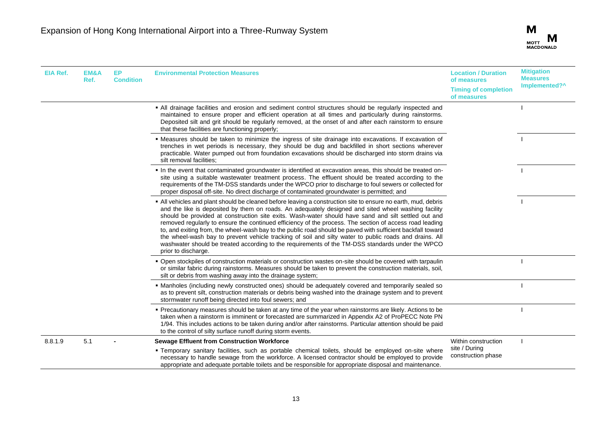

| <b>EIA Ref.</b> | EM&A<br>Ref. | <b>EP</b><br><b>Condition</b> | <b>Environmental Protection Measures</b>                                                                                                                                                                                                                                                                                                                                                                                                                                                                                                                                                                                                                                                                                                                                                 | <b>Location / Duration</b><br>of measures<br><b>Timing of completion</b><br>of measures | <b>Mitigation</b><br><b>Measures</b><br>Implemented?^ |
|-----------------|--------------|-------------------------------|------------------------------------------------------------------------------------------------------------------------------------------------------------------------------------------------------------------------------------------------------------------------------------------------------------------------------------------------------------------------------------------------------------------------------------------------------------------------------------------------------------------------------------------------------------------------------------------------------------------------------------------------------------------------------------------------------------------------------------------------------------------------------------------|-----------------------------------------------------------------------------------------|-------------------------------------------------------|
|                 |              |                               | • All drainage facilities and erosion and sediment control structures should be regularly inspected and<br>maintained to ensure proper and efficient operation at all times and particularly during rainstorms.<br>Deposited silt and grit should be regularly removed, at the onset of and after each rainstorm to ensure<br>that these facilities are functioning properly;                                                                                                                                                                                                                                                                                                                                                                                                            |                                                                                         |                                                       |
|                 |              |                               | - Measures should be taken to minimize the ingress of site drainage into excavations. If excavation of<br>trenches in wet periods is necessary, they should be dug and backfilled in short sections wherever<br>practicable. Water pumped out from foundation excavations should be discharged into storm drains via<br>silt removal facilities;                                                                                                                                                                                                                                                                                                                                                                                                                                         |                                                                                         |                                                       |
|                 |              |                               | In the event that contaminated groundwater is identified at excavation areas, this should be treated on-<br>site using a suitable wastewater treatment process. The effluent should be treated according to the<br>requirements of the TM-DSS standards under the WPCO prior to discharge to foul sewers or collected for<br>proper disposal off-site. No direct discharge of contaminated groundwater is permitted; and                                                                                                                                                                                                                                                                                                                                                                 |                                                                                         |                                                       |
|                 |              |                               | All vehicles and plant should be cleaned before leaving a construction site to ensure no earth, mud, debris<br>and the like is deposited by them on roads. An adequately designed and sited wheel washing facility<br>should be provided at construction site exits. Wash-water should have sand and silt settled out and<br>removed regularly to ensure the continued efficiency of the process. The section of access road leading<br>to, and exiting from, the wheel-wash bay to the public road should be paved with sufficient backfall toward<br>the wheel-wash bay to prevent vehicle tracking of soil and silty water to public roads and drains. All<br>washwater should be treated according to the requirements of the TM-DSS standards under the WPCO<br>prior to discharge. |                                                                                         |                                                       |
|                 |              |                               | • Open stockpiles of construction materials or construction wastes on-site should be covered with tarpaulin<br>or similar fabric during rainstorms. Measures should be taken to prevent the construction materials, soil,<br>silt or debris from washing away into the drainage system;                                                                                                                                                                                                                                                                                                                                                                                                                                                                                                  |                                                                                         |                                                       |
|                 |              |                               | • Manholes (including newly constructed ones) should be adequately covered and temporarily sealed so<br>as to prevent silt, construction materials or debris being washed into the drainage system and to prevent<br>stormwater runoff being directed into foul sewers; and                                                                                                                                                                                                                                                                                                                                                                                                                                                                                                              |                                                                                         |                                                       |
|                 |              |                               | Precautionary measures should be taken at any time of the year when rainstorms are likely. Actions to be<br>taken when a rainstorm is imminent or forecasted are summarized in Appendix A2 of ProPECC Note PN<br>1/94. This includes actions to be taken during and/or after rainstorms. Particular attention should be paid<br>to the control of silty surface runoff during storm events.                                                                                                                                                                                                                                                                                                                                                                                              |                                                                                         |                                                       |
| 8.8.1.9         | 5.1          |                               | <b>Sewage Effluent from Construction Workforce</b><br>" Temporary sanitary facilities, such as portable chemical toilets, should be employed on-site where<br>necessary to handle sewage from the workforce. A licensed contractor should be employed to provide<br>appropriate and adequate portable toilets and be responsible for appropriate disposal and maintenance.                                                                                                                                                                                                                                                                                                                                                                                                               | Within construction<br>site / During<br>construction phase                              |                                                       |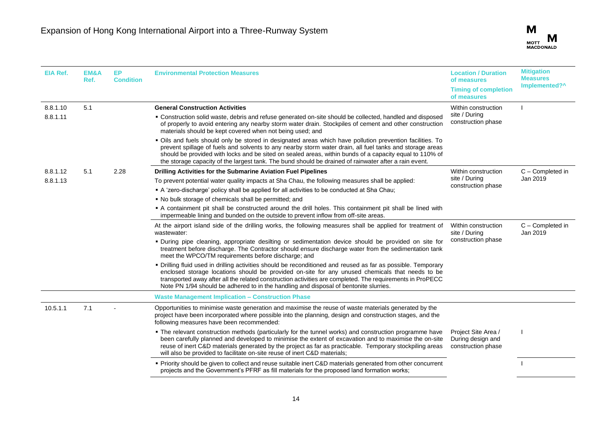

| <b>EIA Ref.</b>      | EM&A<br>Ref. | EP.<br><b>Condition</b> | <b>Environmental Protection Measures</b>                                                                                                                                                                                                                                                                                                                                                                                                  | <b>Location / Duration</b><br>of measures<br><b>Timing of completion</b><br>of measures | <b>Mitigation</b><br><b>Measures</b><br>Implemented?^ |
|----------------------|--------------|-------------------------|-------------------------------------------------------------------------------------------------------------------------------------------------------------------------------------------------------------------------------------------------------------------------------------------------------------------------------------------------------------------------------------------------------------------------------------------|-----------------------------------------------------------------------------------------|-------------------------------------------------------|
| 8.8.1.10<br>8.8.1.11 | 5.1          |                         | <b>General Construction Activities</b><br>• Construction solid waste, debris and refuse generated on-site should be collected, handled and disposed<br>of properly to avoid entering any nearby storm water drain. Stockpiles of cement and other construction<br>materials should be kept covered when not being used; and                                                                                                               | Within construction<br>site / During<br>construction phase                              |                                                       |
|                      |              |                         | . Oils and fuels should only be stored in designated areas which have pollution prevention facilities. To<br>prevent spillage of fuels and solvents to any nearby storm water drain, all fuel tanks and storage areas<br>should be provided with locks and be sited on sealed areas, within bunds of a capacity equal to 110% of<br>the storage capacity of the largest tank. The bund should be drained of rainwater after a rain event. |                                                                                         |                                                       |
| 8.8.1.12             | 5.1          | 2.28                    | Drilling Activities for the Submarine Aviation Fuel Pipelines                                                                                                                                                                                                                                                                                                                                                                             | Within construction                                                                     | C - Completed in                                      |
| 8.8.1.13             |              |                         | To prevent potential water quality impacts at Sha Chau, the following measures shall be applied:                                                                                                                                                                                                                                                                                                                                          | site / During                                                                           | Jan 2019                                              |
|                      |              |                         | A 'zero-discharge' policy shall be applied for all activities to be conducted at Sha Chau;                                                                                                                                                                                                                                                                                                                                                | construction phase                                                                      |                                                       |
|                      |              |                         | • No bulk storage of chemicals shall be permitted; and                                                                                                                                                                                                                                                                                                                                                                                    |                                                                                         |                                                       |
|                      |              |                         | • A containment pit shall be constructed around the drill holes. This containment pit shall be lined with<br>impermeable lining and bunded on the outside to prevent inflow from off-site areas.                                                                                                                                                                                                                                          |                                                                                         |                                                       |
|                      |              |                         | At the airport island side of the drilling works, the following measures shall be applied for treatment of<br>wastewater:                                                                                                                                                                                                                                                                                                                 | Within construction<br>site / During                                                    | C - Completed in<br>Jan 2019                          |
|                      |              |                         | · During pipe cleaning, appropriate desilting or sedimentation device should be provided on site for<br>treatment before discharge. The Contractor should ensure discharge water from the sedimentation tank<br>meet the WPCO/TM requirements before discharge; and                                                                                                                                                                       | construction phase                                                                      |                                                       |
|                      |              |                         | · Drilling fluid used in drilling activities should be reconditioned and reused as far as possible. Temporary<br>enclosed storage locations should be provided on-site for any unused chemicals that needs to be<br>transported away after all the related construction activities are completed. The requirements in ProPECC<br>Note PN 1/94 should be adhered to in the handling and disposal of bentonite slurries.                    |                                                                                         |                                                       |
|                      |              |                         | <b>Waste Management Implication - Construction Phase</b>                                                                                                                                                                                                                                                                                                                                                                                  |                                                                                         |                                                       |
| 10.5.1.1             | 7.1          |                         | Opportunities to minimise waste generation and maximise the reuse of waste materials generated by the<br>project have been incorporated where possible into the planning, design and construction stages, and the<br>following measures have been recommended:                                                                                                                                                                            |                                                                                         |                                                       |
|                      |              |                         | • The relevant construction methods (particularly for the tunnel works) and construction programme have<br>been carefully planned and developed to minimise the extent of excavation and to maximise the on-site<br>reuse of inert C&D materials generated by the project as far as practicable. Temporary stockpiling areas<br>will also be provided to facilitate on-site reuse of inert C&D materials;                                 | Project Site Area /<br>During design and<br>construction phase                          |                                                       |
|                      |              |                         | • Priority should be given to collect and reuse suitable inert C&D materials generated from other concurrent<br>projects and the Government's PFRF as fill materials for the proposed land formation works;                                                                                                                                                                                                                               |                                                                                         |                                                       |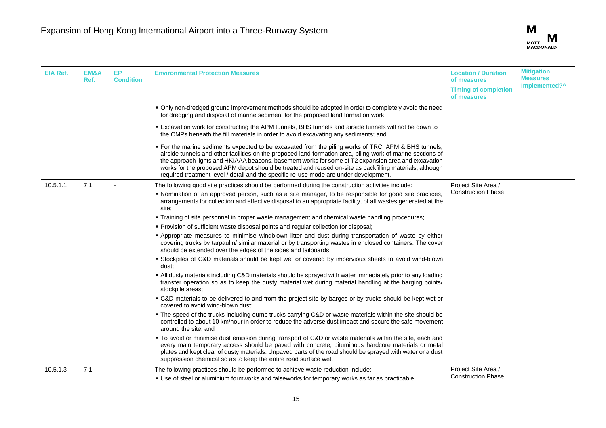| <b>EIA Ref.</b> | EM&A<br>Ref. | <b>EP</b><br><b>Condition</b> | <b>Environmental Protection Measures</b>                                                                                                                                                                                                                                                                                                                                                                                                                                                                                        | <b>Location / Duration</b><br>of measures<br><b>Timing of completion</b><br>of measures | <b>Mitigation</b><br><b>Measures</b><br>Implemented?^ |
|-----------------|--------------|-------------------------------|---------------------------------------------------------------------------------------------------------------------------------------------------------------------------------------------------------------------------------------------------------------------------------------------------------------------------------------------------------------------------------------------------------------------------------------------------------------------------------------------------------------------------------|-----------------------------------------------------------------------------------------|-------------------------------------------------------|
|                 |              |                               | . Only non-dredged ground improvement methods should be adopted in order to completely avoid the need<br>for dredging and disposal of marine sediment for the proposed land formation work;                                                                                                                                                                                                                                                                                                                                     |                                                                                         |                                                       |
|                 |              |                               | <b>Excavation work for constructing the APM tunnels, BHS tunnels and airside tunnels will not be down to F</b><br>the CMPs beneath the fill materials in order to avoid excavating any sediments; and                                                                                                                                                                                                                                                                                                                           |                                                                                         |                                                       |
|                 |              |                               | • For the marine sediments expected to be excavated from the piling works of TRC, APM & BHS tunnels,<br>airside tunnels and other facilities on the proposed land formation area, piling work of marine sections of<br>the approach lights and HKIAAA beacons, basement works for some of T2 expansion area and excavation<br>works for the proposed APM depot should be treated and reused on-site as backfilling materials, although<br>required treatment level / detail and the specific re-use mode are under development. |                                                                                         |                                                       |
| 10.5.1.1        | 7.1          |                               | The following good site practices should be performed during the construction activities include:                                                                                                                                                                                                                                                                                                                                                                                                                               | Project Site Area /                                                                     |                                                       |
|                 |              |                               | • Nomination of an approved person, such as a site manager, to be responsible for good site practices,<br>arrangements for collection and effective disposal to an appropriate facility, of all wastes generated at the<br>site:                                                                                                                                                                                                                                                                                                | <b>Construction Phase</b>                                                               |                                                       |
|                 |              |                               | . Training of site personnel in proper waste management and chemical waste handling procedures;                                                                                                                                                                                                                                                                                                                                                                                                                                 |                                                                                         |                                                       |
|                 |              |                               | • Provision of sufficient waste disposal points and regular collection for disposal;                                                                                                                                                                                                                                                                                                                                                                                                                                            |                                                                                         |                                                       |
|                 |              |                               | . Appropriate measures to minimise windblown litter and dust during transportation of waste by either<br>covering trucks by tarpaulin/similar material or by transporting wastes in enclosed containers. The cover<br>should be extended over the edges of the sides and tailboards;                                                                                                                                                                                                                                            |                                                                                         |                                                       |
|                 |              |                               | * Stockpiles of C&D materials should be kept wet or covered by impervious sheets to avoid wind-blown<br>dust:                                                                                                                                                                                                                                                                                                                                                                                                                   |                                                                                         |                                                       |
|                 |              |                               | . All dusty materials including C&D materials should be sprayed with water immediately prior to any loading<br>transfer operation so as to keep the dusty material wet during material handling at the barging points/<br>stockpile areas;                                                                                                                                                                                                                                                                                      |                                                                                         |                                                       |
|                 |              |                               | • C&D materials to be delivered to and from the project site by barges or by trucks should be kept wet or<br>covered to avoid wind-blown dust:                                                                                                                                                                                                                                                                                                                                                                                  |                                                                                         |                                                       |
|                 |              |                               | . The speed of the trucks including dump trucks carrying C&D or waste materials within the site should be<br>controlled to about 10 km/hour in order to reduce the adverse dust impact and secure the safe movement<br>around the site; and                                                                                                                                                                                                                                                                                     |                                                                                         |                                                       |
|                 |              |                               | " To avoid or minimise dust emission during transport of C&D or waste materials within the site, each and<br>every main temporary access should be paved with concrete, bituminous hardcore materials or metal<br>plates and kept clear of dusty materials. Unpaved parts of the road should be sprayed with water or a dust<br>suppression chemical so as to keep the entire road surface wet.                                                                                                                                 |                                                                                         |                                                       |
| 10.5.1.3        | 7.1          |                               | The following practices should be performed to achieve waste reduction include:                                                                                                                                                                                                                                                                                                                                                                                                                                                 | Project Site Area /                                                                     |                                                       |
|                 |              |                               | . Use of steel or aluminium formworks and falseworks for temporary works as far as practicable;                                                                                                                                                                                                                                                                                                                                                                                                                                 | <b>Construction Phase</b>                                                               |                                                       |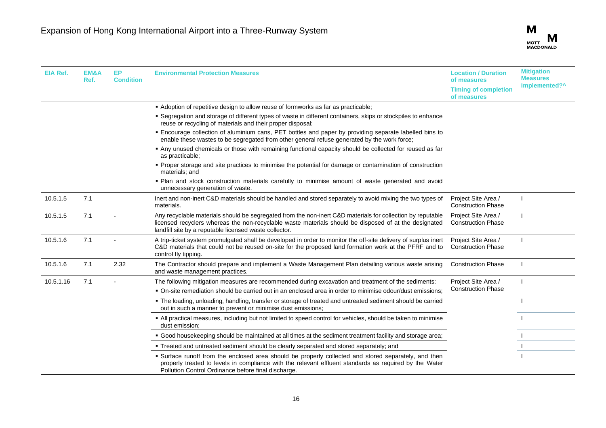| <b>EIA Ref.</b> | EM&A<br>Ref. | EP.<br><b>Condition</b> | <b>Environmental Protection Measures</b>                                                                                                                                                                                                                                      | <b>Location / Duration</b><br>of measures        | <b>Mitigation</b><br><b>Measures</b> |
|-----------------|--------------|-------------------------|-------------------------------------------------------------------------------------------------------------------------------------------------------------------------------------------------------------------------------------------------------------------------------|--------------------------------------------------|--------------------------------------|
|                 |              |                         |                                                                                                                                                                                                                                                                               | <b>Timing of completion</b><br>of measures       | Implemented?^                        |
|                 |              |                         | Adoption of repetitive design to allow reuse of formworks as far as practicable;                                                                                                                                                                                              |                                                  |                                      |
|                 |              |                         | • Segregation and storage of different types of waste in different containers, skips or stockpiles to enhance<br>reuse or recycling of materials and their proper disposal;                                                                                                   |                                                  |                                      |
|                 |              |                         | . Encourage collection of aluminium cans, PET bottles and paper by providing separate labelled bins to<br>enable these wastes to be segregated from other general refuse generated by the work force;                                                                         |                                                  |                                      |
|                 |              |                         | Any unused chemicals or those with remaining functional capacity should be collected for reused as far<br>as practicable;                                                                                                                                                     |                                                  |                                      |
|                 |              |                         | • Proper storage and site practices to minimise the potential for damage or contamination of construction<br>materials; and                                                                                                                                                   |                                                  |                                      |
|                 |              |                         | . Plan and stock construction materials carefully to minimise amount of waste generated and avoid<br>unnecessary generation of waste.                                                                                                                                         |                                                  |                                      |
| 10.5.1.5        | 7.1          |                         | Inert and non-inert C&D materials should be handled and stored separately to avoid mixing the two types of<br>materials.                                                                                                                                                      | Project Site Area /<br><b>Construction Phase</b> |                                      |
| 10.5.1.5        | 7.1          |                         | Any recyclable materials should be segregated from the non-inert C&D materials for collection by reputable<br>licensed recyclers whereas the non-recyclable waste materials should be disposed of at the designated<br>landfill site by a reputable licensed waste collector. | Project Site Area /<br><b>Construction Phase</b> |                                      |
| 10.5.1.6        | 7.1          |                         | A trip-ticket system promulgated shall be developed in order to monitor the off-site delivery of surplus inert<br>C&D materials that could not be reused on-site for the proposed land formation work at the PFRF and to<br>control fly tipping.                              | Project Site Area /<br><b>Construction Phase</b> |                                      |
| 10.5.1.6        | 7.1          | 2.32                    | The Contractor should prepare and implement a Waste Management Plan detailing various waste arising<br>and waste management practices.                                                                                                                                        | <b>Construction Phase</b>                        |                                      |
| 10.5.1.16       | 7.1          |                         | The following mitigation measures are recommended during excavation and treatment of the sediments:<br>. On-site remediation should be carried out in an enclosed area in order to minimise odour/dust emissions;                                                             | Project Site Area /<br><b>Construction Phase</b> | $\mathbf{I}$                         |
|                 |              |                         | • The loading, unloading, handling, transfer or storage of treated and untreated sediment should be carried<br>out in such a manner to prevent or minimise dust emissions;                                                                                                    |                                                  |                                      |
|                 |              |                         | . All practical measures, including but not limited to speed control for vehicles, should be taken to minimise<br>dust emission;                                                                                                                                              |                                                  |                                      |
|                 |              |                         | • Good housekeeping should be maintained at all times at the sediment treatment facility and storage area;                                                                                                                                                                    |                                                  |                                      |
|                 |              |                         | • Treated and untreated sediment should be clearly separated and stored separately; and                                                                                                                                                                                       |                                                  |                                      |
|                 |              |                         | • Surface runoff from the enclosed area should be properly collected and stored separately, and then<br>properly treated to levels in compliance with the relevant effluent standards as required by the Water<br>Pollution Control Ordinance before final discharge.         |                                                  |                                      |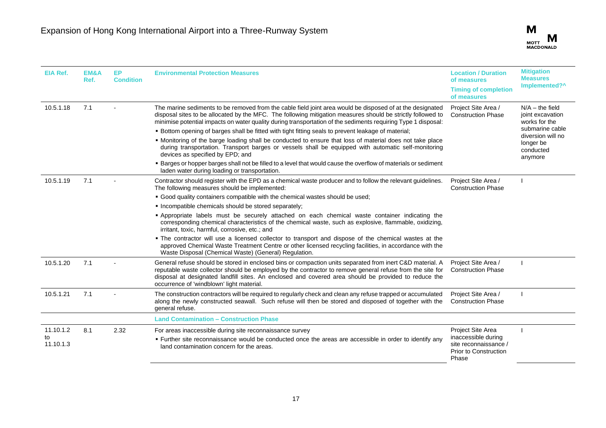

| EIA Ref.        | <b>EM&amp;A</b><br>Ref. | EP.<br><b>Condition</b> | <b>Environmental Protection Measures</b>                                                                                                                                                                                                                                                                                                                                    | <b>Location / Duration</b><br>of measures                                             | <b>Mitigation</b><br><b>Measures</b>                   |
|-----------------|-------------------------|-------------------------|-----------------------------------------------------------------------------------------------------------------------------------------------------------------------------------------------------------------------------------------------------------------------------------------------------------------------------------------------------------------------------|---------------------------------------------------------------------------------------|--------------------------------------------------------|
|                 |                         |                         | <b>Timing of completion</b><br>of measures                                                                                                                                                                                                                                                                                                                                  | Implemented?^                                                                         |                                                        |
| 10.5.1.18       | 7.1                     |                         | The marine sediments to be removed from the cable field joint area would be disposed of at the designated<br>disposal sites to be allocated by the MFC. The following mitigation measures should be strictly followed to<br>minimise potential impacts on water quality during transportation of the sediments requiring Type 1 disposal:                                   | Project Site Area /<br><b>Construction Phase</b>                                      | $N/A -$ the field<br>joint excavation<br>works for the |
|                 |                         |                         | . Bottom opening of barges shall be fitted with tight fitting seals to prevent leakage of material;                                                                                                                                                                                                                                                                         |                                                                                       | submarine cable                                        |
|                 |                         |                         | . Monitoring of the barge loading shall be conducted to ensure that loss of material does not take place<br>during transportation. Transport barges or vessels shall be equipped with automatic self-monitoring<br>devices as specified by EPD; and                                                                                                                         |                                                                                       | diversion will no<br>longer be<br>conducted<br>anymore |
|                 |                         |                         | • Barges or hopper barges shall not be filled to a level that would cause the overflow of materials or sediment<br>laden water during loading or transportation.                                                                                                                                                                                                            |                                                                                       |                                                        |
| 10.5.1.19       | 7.1                     |                         | Contractor should register with the EPD as a chemical waste producer and to follow the relevant guidelines.<br>The following measures should be implemented:                                                                                                                                                                                                                | Project Site Area /<br><b>Construction Phase</b>                                      |                                                        |
|                 |                         |                         | • Good quality containers compatible with the chemical wastes should be used;                                                                                                                                                                                                                                                                                               |                                                                                       |                                                        |
|                 |                         |                         | . Incompatible chemicals should be stored separately;                                                                                                                                                                                                                                                                                                                       |                                                                                       |                                                        |
|                 |                         |                         | · Appropriate labels must be securely attached on each chemical waste container indicating the<br>corresponding chemical characteristics of the chemical waste, such as explosive, flammable, oxidizing,<br>irritant, toxic, harmful, corrosive, etc.; and                                                                                                                  |                                                                                       |                                                        |
|                 |                         |                         | . The contractor will use a licensed collector to transport and dispose of the chemical wastes at the<br>approved Chemical Waste Treatment Centre or other licensed recycling facilities, in accordance with the<br>Waste Disposal (Chemical Waste) (General) Regulation.                                                                                                   |                                                                                       |                                                        |
| 10.5.1.20       | 7.1                     |                         | General refuse should be stored in enclosed bins or compaction units separated from inert C&D material. A<br>reputable waste collector should be employed by the contractor to remove general refuse from the site for<br>disposal at designated landfill sites. An enclosed and covered area should be provided to reduce the<br>occurrence of 'windblown' light material. | Project Site Area /<br><b>Construction Phase</b>                                      |                                                        |
| 10.5.1.21       | 7.1                     |                         | The construction contractors will be required to regularly check and clean any refuse trapped or accumulated<br>along the newly constructed seawall. Such refuse will then be stored and disposed of together with the<br>general refuse.                                                                                                                                   | Project Site Area /<br><b>Construction Phase</b>                                      |                                                        |
|                 |                         |                         | <b>Land Contamination - Construction Phase</b>                                                                                                                                                                                                                                                                                                                              |                                                                                       |                                                        |
| 11.10.1.2       | 8.1                     | 2.32                    | For areas inaccessible during site reconnaissance survey                                                                                                                                                                                                                                                                                                                    | Project Site Area                                                                     |                                                        |
| to<br>11.10.1.3 |                         |                         | • Further site reconnaissance would be conducted once the areas are accessible in order to identify any<br>land contamination concern for the areas.                                                                                                                                                                                                                        | inaccessible during<br>site reconnaissance /<br><b>Prior to Construction</b><br>Phase |                                                        |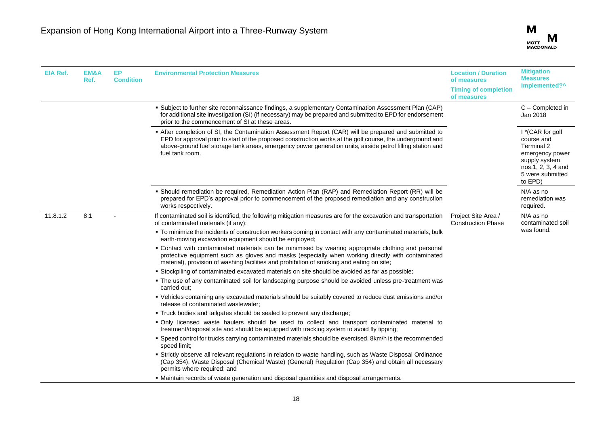

| EIA Ref. | EM&A<br>Ref. | <b>EP</b><br><b>Condition</b> | <b>Environmental Protection Measures</b>                                                                                                                                                                                                                                                                                                                                                                                                                                                                                                                                                                                                                                                                                                                                                                                                                                                                                                                                                                                                                                                                                                                                                                                                                                                                                                                                                                                                                                                                                                                                                                                                                                                                                                                                      | <b>Location / Duration</b><br>of measures<br><b>Timing of completion</b><br>of measures | <b>Mitigation</b><br><b>Measures</b><br>Implemented?^                                                                                 |
|----------|--------------|-------------------------------|-------------------------------------------------------------------------------------------------------------------------------------------------------------------------------------------------------------------------------------------------------------------------------------------------------------------------------------------------------------------------------------------------------------------------------------------------------------------------------------------------------------------------------------------------------------------------------------------------------------------------------------------------------------------------------------------------------------------------------------------------------------------------------------------------------------------------------------------------------------------------------------------------------------------------------------------------------------------------------------------------------------------------------------------------------------------------------------------------------------------------------------------------------------------------------------------------------------------------------------------------------------------------------------------------------------------------------------------------------------------------------------------------------------------------------------------------------------------------------------------------------------------------------------------------------------------------------------------------------------------------------------------------------------------------------------------------------------------------------------------------------------------------------|-----------------------------------------------------------------------------------------|---------------------------------------------------------------------------------------------------------------------------------------|
|          |              |                               | . Subject to further site reconnaissance findings, a supplementary Contamination Assessment Plan (CAP)<br>for additional site investigation (SI) (if necessary) may be prepared and submitted to EPD for endorsement<br>prior to the commencement of SI at these areas.                                                                                                                                                                                                                                                                                                                                                                                                                                                                                                                                                                                                                                                                                                                                                                                                                                                                                                                                                                                                                                                                                                                                                                                                                                                                                                                                                                                                                                                                                                       |                                                                                         | C - Completed in<br>Jan 2018                                                                                                          |
|          |              |                               | After completion of SI, the Contamination Assessment Report (CAR) will be prepared and submitted to<br>EPD for approval prior to start of the proposed construction works at the golf course, the underground and<br>above-ground fuel storage tank areas, emergency power generation units, airside petrol filling station and<br>fuel tank room.                                                                                                                                                                                                                                                                                                                                                                                                                                                                                                                                                                                                                                                                                                                                                                                                                                                                                                                                                                                                                                                                                                                                                                                                                                                                                                                                                                                                                            |                                                                                         | I *(CAR for golf<br>course and<br>Terminal 2<br>emergency power<br>supply system<br>nos.1, 2, 3, 4 and<br>5 were submitted<br>to EPD) |
|          |              |                               | · Should remediation be required, Remediation Action Plan (RAP) and Remediation Report (RR) will be<br>prepared for EPD's approval prior to commencement of the proposed remediation and any construction<br>works respectively.                                                                                                                                                                                                                                                                                                                                                                                                                                                                                                                                                                                                                                                                                                                                                                                                                                                                                                                                                                                                                                                                                                                                                                                                                                                                                                                                                                                                                                                                                                                                              |                                                                                         | N/A as no<br>remediation was<br>required.                                                                                             |
| 11.8.1.2 | 8.1          |                               | If contaminated soil is identified, the following mitigation measures are for the excavation and transportation<br>of contaminated materials (if any):<br>" To minimize the incidents of construction workers coming in contact with any contaminated materials, bulk<br>earth-moving excavation equipment should be employed;<br>• Contact with contaminated materials can be minimised by wearing appropriate clothing and personal<br>protective equipment such as gloves and masks (especially when working directly with contaminated<br>material), provision of washing facilities and prohibition of smoking and eating on site;<br>• Stockpiling of contaminated excavated materials on site should be avoided as far as possible;<br>• The use of any contaminated soil for landscaping purpose should be avoided unless pre-treatment was<br>carried out:<br>• Vehicles containing any excavated materials should be suitably covered to reduce dust emissions and/or<br>release of contaminated wastewater;<br>. Truck bodies and tailgates should be sealed to prevent any discharge;<br>. Only licensed waste haulers should be used to collect and transport contaminated material to<br>treatment/disposal site and should be equipped with tracking system to avoid fly tipping;<br>• Speed control for trucks carrying contaminated materials should be exercised. 8km/h is the recommended<br>speed limit;<br>• Strictly observe all relevant regulations in relation to waste handling, such as Waste Disposal Ordinance<br>(Cap 354), Waste Disposal (Chemical Waste) (General) Regulation (Cap 354) and obtain all necessary<br>permits where required; and<br>. Maintain records of waste generation and disposal quantities and disposal arrangements. | Project Site Area /<br><b>Construction Phase</b>                                        | N/A as no<br>contaminated soil<br>was found.                                                                                          |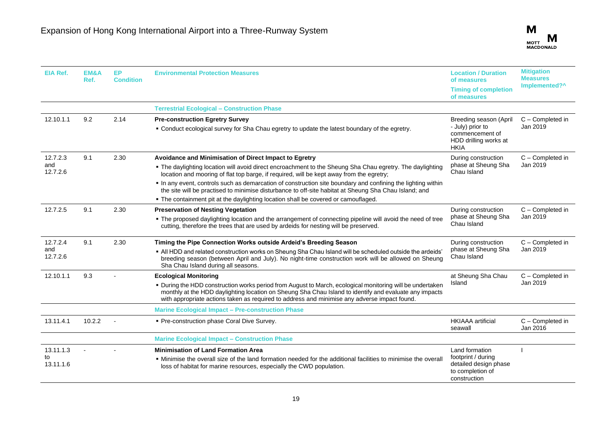| <b>EIA Ref.</b>              | <b>EM&amp;A</b><br>Ref. | EP<br><b>Condition</b> | <b>Environmental Protection Measures</b>                                                                                                                                                                                                                                                                                                                                                                                                                                                 | <b>Location / Duration</b><br>of measures<br><b>Timing of completion</b><br>of measures               | <b>Mitigation</b><br><b>Measures</b><br>Implemented?^ |
|------------------------------|-------------------------|------------------------|------------------------------------------------------------------------------------------------------------------------------------------------------------------------------------------------------------------------------------------------------------------------------------------------------------------------------------------------------------------------------------------------------------------------------------------------------------------------------------------|-------------------------------------------------------------------------------------------------------|-------------------------------------------------------|
|                              |                         |                        | <b>Terrestrial Ecological - Construction Phase</b>                                                                                                                                                                                                                                                                                                                                                                                                                                       |                                                                                                       |                                                       |
| 12.10.1.1                    | 9.2                     | 2.14                   | <b>Pre-construction Egretry Survey</b><br>. Conduct ecological survey for Sha Chau egretry to update the latest boundary of the egretry.                                                                                                                                                                                                                                                                                                                                                 | Breeding season (April<br>- July) prior to<br>commencement of<br>HDD drilling works at<br><b>HKIA</b> | C - Completed in<br>Jan 2019                          |
| 12.7.2.3<br>and<br>12.7.2.6  | 9.1                     | 2.30                   | Avoidance and Minimisation of Direct Impact to Egretry<br>. The daylighting location will avoid direct encroachment to the Sheung Sha Chau egretry. The daylighting<br>location and mooring of flat top barge, if required, will be kept away from the egretry;<br>. In any event, controls such as demarcation of construction site boundary and confining the lighting within<br>the site will be practised to minimise disturbance to off-site habitat at Sheung Sha Chau Island; and | During construction<br>phase at Sheung Sha<br>Chau Island                                             | C - Completed in<br>Jan 2019                          |
| 12.7.2.5                     | 9.1                     | 2.30                   | . The containment pit at the daylighting location shall be covered or camouflaged.<br><b>Preservation of Nesting Vegetation</b><br>. The proposed daylighting location and the arrangement of connecting pipeline will avoid the need of tree<br>cutting, therefore the trees that are used by ardeids for nesting will be preserved.                                                                                                                                                    | During construction<br>phase at Sheung Sha<br>Chau Island                                             | C - Completed in<br>Jan 2019                          |
| 12.7.2.4<br>and<br>12.7.2.6  | 9.1                     | 2.30                   | Timing the Pipe Connection Works outside Ardeid's Breeding Season<br>. All HDD and related construction works on Sheung Sha Chau Island will be scheduled outside the ardeids'<br>breeding season (between April and July). No night-time construction work will be allowed on Sheung<br>Sha Chau Island during all seasons.                                                                                                                                                             | During construction<br>phase at Sheung Sha<br>Chau Island                                             | C - Completed in<br>Jan 2019                          |
| 12.10.1.1                    | 9.3                     |                        | <b>Ecological Monitoring</b><br>. During the HDD construction works period from August to March, ecological monitoring will be undertaken<br>monthly at the HDD daylighting location on Sheung Sha Chau Island to identify and evaluate any impacts<br>with appropriate actions taken as required to address and minimise any adverse impact found.                                                                                                                                      | at Sheung Sha Chau<br>Island                                                                          | C - Completed in<br>Jan 2019                          |
|                              |                         |                        | <b>Marine Ecological Impact - Pre-construction Phase</b>                                                                                                                                                                                                                                                                                                                                                                                                                                 |                                                                                                       |                                                       |
| 13.11.4.1                    | 10.2.2                  |                        | • Pre-construction phase Coral Dive Survey.                                                                                                                                                                                                                                                                                                                                                                                                                                              | <b>HKIAAA</b> artificial<br>seawall                                                                   | C - Completed in<br>Jan 2016                          |
|                              |                         |                        | <b>Marine Ecological Impact - Construction Phase</b>                                                                                                                                                                                                                                                                                                                                                                                                                                     |                                                                                                       |                                                       |
| 13.11.1.3<br>to<br>13.11.1.6 |                         |                        | <b>Minimisation of Land Formation Area</b><br>• Minimise the overall size of the land formation needed for the additional facilities to minimise the overall<br>loss of habitat for marine resources, especially the CWD population.                                                                                                                                                                                                                                                     | Land formation<br>footprint / during<br>detailed design phase<br>to completion of<br>construction     |                                                       |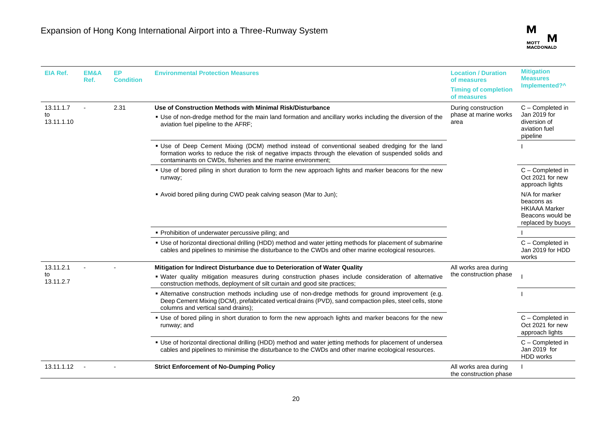

| <b>EIA Ref.</b>               | EM&A<br>Ref. | <b>EP</b><br><b>Condition</b> | <b>Environmental Protection Measures</b>                                                                                                                                                                                                                             | <b>Location / Duration</b><br>of measures<br><b>Timing of completion</b><br>of measures | <b>Mitigation</b><br><b>Measures</b><br>Implemented?^                                         |
|-------------------------------|--------------|-------------------------------|----------------------------------------------------------------------------------------------------------------------------------------------------------------------------------------------------------------------------------------------------------------------|-----------------------------------------------------------------------------------------|-----------------------------------------------------------------------------------------------|
| 13.11.1.7<br>to<br>13.11.1.10 |              | 2.31                          | Use of Construction Methods with Minimal Risk/Disturbance<br>• Use of non-dredge method for the main land formation and ancillary works including the diversion of the<br>aviation fuel pipeline to the AFRF;                                                        | During construction<br>phase at marine works<br>area                                    | C - Completed in<br>Jan 2019 for<br>diversion of<br>aviation fuel<br>pipeline                 |
|                               |              |                               | . Use of Deep Cement Mixing (DCM) method instead of conventional seabed dredging for the land<br>formation works to reduce the risk of negative impacts through the elevation of suspended solids and<br>contaminants on CWDs, fisheries and the marine environment; |                                                                                         |                                                                                               |
|                               |              |                               | • Use of bored piling in short duration to form the new approach lights and marker beacons for the new<br>runway;                                                                                                                                                    |                                                                                         | C - Completed in<br>Oct 2021 for new<br>approach lights                                       |
|                               |              |                               | • Avoid bored piling during CWD peak calving season (Mar to Jun);                                                                                                                                                                                                    |                                                                                         | N/A for marker<br>beacons as<br><b>HKIAAA Marker</b><br>Beacons would be<br>replaced by buoys |
|                               |              |                               | • Prohibition of underwater percussive piling; and                                                                                                                                                                                                                   |                                                                                         |                                                                                               |
|                               |              |                               | • Use of horizontal directional drilling (HDD) method and water jetting methods for placement of submarine<br>cables and pipelines to minimise the disturbance to the CWDs and other marine ecological resources.                                                    |                                                                                         | C - Completed in<br>Jan 2019 for HDD<br>works                                                 |
| 13.11.2.1                     |              |                               | Mitigation for Indirect Disturbance due to Deterioration of Water Quality                                                                                                                                                                                            | All works area during                                                                   |                                                                                               |
| to<br>13.11.2.7               |              |                               | . Water quality mitigation measures during construction phases include consideration of alternative<br>construction methods, deployment of silt curtain and good site practices;                                                                                     | the construction phase                                                                  |                                                                                               |
|                               |              |                               | - Alternative construction methods including use of non-dredge methods for ground improvement (e.g.<br>Deep Cement Mixing (DCM), prefabricated vertical drains (PVD), sand compaction piles, steel cells, stone<br>columns and vertical sand drains);                |                                                                                         |                                                                                               |
|                               |              |                               | • Use of bored piling in short duration to form the new approach lights and marker beacons for the new<br>runway; and                                                                                                                                                |                                                                                         | C - Completed in<br>Oct 2021 for new<br>approach lights                                       |
|                               |              |                               | " Use of horizontal directional drilling (HDD) method and water jetting methods for placement of undersea<br>cables and pipelines to minimise the disturbance to the CWDs and other marine ecological resources.                                                     |                                                                                         | C - Completed in<br>Jan 2019 for<br>HDD works                                                 |
| 13.11.1.12                    |              |                               | <b>Strict Enforcement of No-Dumping Policy</b>                                                                                                                                                                                                                       | All works area during<br>the construction phase                                         |                                                                                               |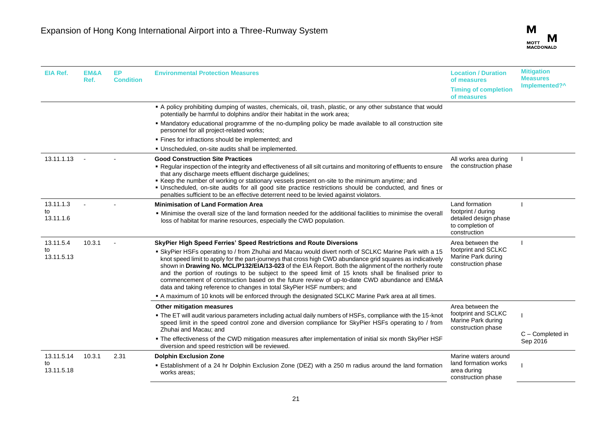| EIA Ref.         | <b>EM&amp;A</b><br>Ref. | EP<br><b>Condition</b> | <b>Environmental Protection Measures</b>                                                                                                                                                                                                                                                                                                                                                                                                                                                                                                                                                                       | <b>Location / Duration</b><br>of measures<br><b>Timing of completion</b><br>of measures | <b>Mitigation</b><br><b>Measures</b><br>Implemented?^ |
|------------------|-------------------------|------------------------|----------------------------------------------------------------------------------------------------------------------------------------------------------------------------------------------------------------------------------------------------------------------------------------------------------------------------------------------------------------------------------------------------------------------------------------------------------------------------------------------------------------------------------------------------------------------------------------------------------------|-----------------------------------------------------------------------------------------|-------------------------------------------------------|
|                  |                         |                        | A policy prohibiting dumping of wastes, chemicals, oil, trash, plastic, or any other substance that would<br>potentially be harmful to dolphins and/or their habitat in the work area;                                                                                                                                                                                                                                                                                                                                                                                                                         |                                                                                         |                                                       |
|                  |                         |                        | • Mandatory educational programme of the no-dumpling policy be made available to all construction site<br>personnel for all project-related works;                                                                                                                                                                                                                                                                                                                                                                                                                                                             |                                                                                         |                                                       |
|                  |                         |                        | • Fines for infractions should be implemented; and                                                                                                                                                                                                                                                                                                                                                                                                                                                                                                                                                             |                                                                                         |                                                       |
|                  |                         |                        | . Unscheduled, on-site audits shall be implemented.                                                                                                                                                                                                                                                                                                                                                                                                                                                                                                                                                            |                                                                                         |                                                       |
| 13.11.1.13       |                         |                        | <b>Good Construction Site Practices</b><br>- Regular inspection of the integrity and effectiveness of all silt curtains and monitoring of effluents to ensure<br>that any discharge meets effluent discharge quidelines;<br>Keep the number of working or stationary vessels present on-site to the minimum anytime; and<br>· Unscheduled, on-site audits for all good site practice restrictions should be conducted, and fines or<br>penalties sufficient to be an effective deterrent need to be levied against violators.                                                                                  | All works area during<br>the construction phase                                         |                                                       |
| 13.11.1.3        |                         |                        | <b>Minimisation of Land Formation Area</b>                                                                                                                                                                                                                                                                                                                                                                                                                                                                                                                                                                     | Land formation                                                                          |                                                       |
| to<br>13.11.1.6  |                         |                        | . Minimise the overall size of the land formation needed for the additional facilities to minimise the overall<br>loss of habitat for marine resources, especially the CWD population.                                                                                                                                                                                                                                                                                                                                                                                                                         | footprint / during<br>detailed design phase<br>to completion of<br>construction         |                                                       |
| 13.11.5.4        | 10.3.1                  |                        | SkyPier High Speed Ferries' Speed Restrictions and Route Diversions                                                                                                                                                                                                                                                                                                                                                                                                                                                                                                                                            | Area between the                                                                        |                                                       |
| to<br>13.11.5.13 |                         |                        | • SkyPier HSFs operating to / from Zhuhai and Macau would divert north of SCLKC Marine Park with a 15<br>knot speed limit to apply for the part-journeys that cross high CWD abundance grid squares as indicatively<br>shown in Drawing No. MCL/P132/EIA/13-023 of the EIA Report. Both the alignment of the northerly route<br>and the portion of routings to be subject to the speed limit of 15 knots shall be finalised prior to<br>commencement of construction based on the future review of up-to-date CWD abundance and EM&A<br>data and taking reference to changes in total SkyPier HSF numbers; and | footprint and SCLKC<br>Marine Park during<br>construction phase                         |                                                       |
|                  |                         |                        | A maximum of 10 knots will be enforced through the designated SCLKC Marine Park area at all times.                                                                                                                                                                                                                                                                                                                                                                                                                                                                                                             |                                                                                         |                                                       |
|                  |                         |                        | Other mitigation measures                                                                                                                                                                                                                                                                                                                                                                                                                                                                                                                                                                                      | Area between the                                                                        |                                                       |
|                  |                         |                        | . The ET will audit various parameters including actual daily numbers of HSFs, compliance with the 15-knot<br>speed limit in the speed control zone and diversion compliance for SkyPier HSFs operating to / from<br>Zhuhai and Macau; and                                                                                                                                                                                                                                                                                                                                                                     | footprint and SCLKC<br>Marine Park during<br>construction phase                         |                                                       |
|                  |                         |                        | . The effectiveness of the CWD mitigation measures after implementation of initial six month SkyPier HSF<br>diversion and speed restriction will be reviewed.                                                                                                                                                                                                                                                                                                                                                                                                                                                  |                                                                                         | C - Completed in<br>Sep 2016                          |
| 13.11.5.14       | 10.3.1                  | 2.31                   | <b>Dolphin Exclusion Zone</b>                                                                                                                                                                                                                                                                                                                                                                                                                                                                                                                                                                                  | Marine waters around                                                                    |                                                       |
| to<br>13.11.5.18 |                         |                        | <b>Establishment of a 24 hr Dolphin Exclusion Zone (DEZ) with a 250 m radius around the land formation</b><br>works areas;                                                                                                                                                                                                                                                                                                                                                                                                                                                                                     | land formation works<br>area during<br>construction phase                               |                                                       |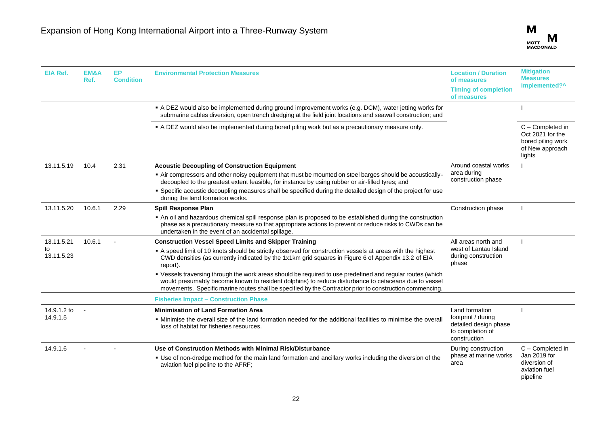| <b>EIA Ref.</b>  | EM&A<br>Ref. | EP.<br><b>Condition</b> | <b>Environmental Protection Measures</b>                                                                                                                                                                                                                                                                                       | <b>Location / Duration</b><br>of measures<br><b>Timing of completion</b><br>of measures | <b>Mitigation</b><br><b>Measures</b><br>Implemented?^                                  |
|------------------|--------------|-------------------------|--------------------------------------------------------------------------------------------------------------------------------------------------------------------------------------------------------------------------------------------------------------------------------------------------------------------------------|-----------------------------------------------------------------------------------------|----------------------------------------------------------------------------------------|
|                  |              |                         | A DEZ would also be implemented during ground improvement works (e.g. DCM), water jetting works for<br>submarine cables diversion, open trench dredging at the field joint locations and seawall construction; and                                                                                                             |                                                                                         |                                                                                        |
|                  |              |                         | - A DEZ would also be implemented during bored piling work but as a precautionary measure only.                                                                                                                                                                                                                                |                                                                                         | C - Completed in<br>Oct 2021 for the<br>bored piling work<br>of New approach<br>lights |
| 13.11.5.19       | 10.4         | 2.31                    | <b>Acoustic Decoupling of Construction Equipment</b>                                                                                                                                                                                                                                                                           | Around coastal works                                                                    |                                                                                        |
|                  |              |                         | - Air compressors and other noisy equipment that must be mounted on steel barges should be acoustically-<br>decoupled to the greatest extent feasible, for instance by using rubber or air-filled tyres; and                                                                                                                   | area during<br>construction phase                                                       |                                                                                        |
|                  |              |                         | • Specific acoustic decoupling measures shall be specified during the detailed design of the project for use<br>during the land formation works.                                                                                                                                                                               |                                                                                         |                                                                                        |
| 13.11.5.20       | 10.6.1       | 2.29                    | Spill Response Plan                                                                                                                                                                                                                                                                                                            | Construction phase                                                                      |                                                                                        |
|                  |              |                         | • An oil and hazardous chemical spill response plan is proposed to be established during the construction<br>phase as a precautionary measure so that appropriate actions to prevent or reduce risks to CWDs can be<br>undertaken in the event of an accidental spillage.                                                      |                                                                                         |                                                                                        |
| 13.11.5.21       | 10.6.1       |                         | <b>Construction Vessel Speed Limits and Skipper Training</b>                                                                                                                                                                                                                                                                   | All areas north and                                                                     |                                                                                        |
| to<br>13.11.5.23 |              |                         | A speed limit of 10 knots should be strictly observed for construction vessels at areas with the highest<br>CWD densities (as currently indicated by the 1x1km grid squares in Figure 6 of Appendix 13.2 of EIA<br>report).                                                                                                    | west of Lantau Island<br>during construction<br>phase                                   |                                                                                        |
|                  |              |                         | • Vessels traversing through the work areas should be required to use predefined and regular routes (which<br>would presumably become known to resident dolphins) to reduce disturbance to cetaceans due to vessel<br>movements. Specific marine routes shall be specified by the Contractor prior to construction commencing. |                                                                                         |                                                                                        |
|                  |              |                         | <b>Fisheries Impact - Construction Phase</b>                                                                                                                                                                                                                                                                                   |                                                                                         |                                                                                        |
| 14.9.1.2 to      |              |                         | <b>Minimisation of Land Formation Area</b>                                                                                                                                                                                                                                                                                     | Land formation                                                                          |                                                                                        |
| 14.9.1.5         |              |                         | • Minimise the overall size of the land formation needed for the additional facilities to minimise the overall<br>loss of habitat for fisheries resources.                                                                                                                                                                     | footprint / during<br>detailed design phase<br>to completion of<br>construction         |                                                                                        |
| 14.9.1.6         |              |                         | Use of Construction Methods with Minimal Risk/Disturbance                                                                                                                                                                                                                                                                      | During construction                                                                     | C - Completed in                                                                       |
|                  |              |                         | • Use of non-dredge method for the main land formation and ancillary works including the diversion of the<br>aviation fuel pipeline to the AFRF;                                                                                                                                                                               | phase at marine works<br>area                                                           | Jan 2019 for<br>diversion of<br>aviation fuel<br>pipeline                              |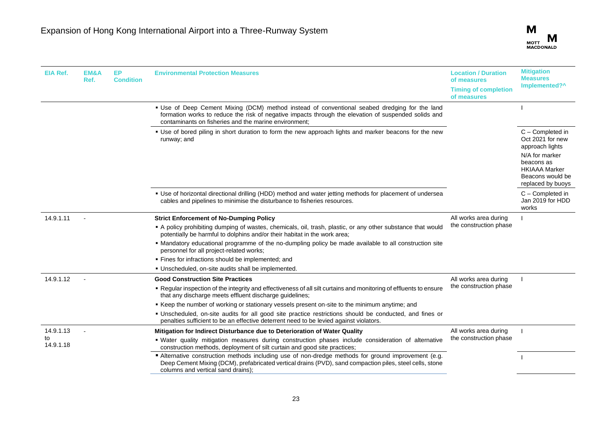

| EIA Ref.        | EM&A<br>Ref. | EP<br><b>Condition</b> | <b>Environmental Protection Measures</b>                                                                                                                                                                                                                       | <b>Location / Duration</b><br>of measures  | <b>Mitigation</b><br><b>Measures</b>                                                                                                |
|-----------------|--------------|------------------------|----------------------------------------------------------------------------------------------------------------------------------------------------------------------------------------------------------------------------------------------------------------|--------------------------------------------|-------------------------------------------------------------------------------------------------------------------------------------|
|                 |              |                        |                                                                                                                                                                                                                                                                | <b>Timing of completion</b><br>of measures | Implemented?^                                                                                                                       |
|                 |              |                        | • Use of Deep Cement Mixing (DCM) method instead of conventional seabed dredging for the land<br>formation works to reduce the risk of negative impacts through the elevation of suspended solids and<br>contaminants on fisheries and the marine environment; |                                            |                                                                                                                                     |
|                 |              |                        | • Use of bored piling in short duration to form the new approach lights and marker beacons for the new<br>runway; and                                                                                                                                          |                                            | C - Completed in<br>Oct 2021 for new<br>approach lights<br>N/A for marker<br>beacons as<br><b>HKIAAA Marker</b><br>Beacons would be |
|                 |              |                        |                                                                                                                                                                                                                                                                |                                            | replaced by buoys                                                                                                                   |
|                 |              |                        | " Use of horizontal directional drilling (HDD) method and water jetting methods for placement of undersea<br>cables and pipelines to minimise the disturbance to fisheries resources.                                                                          |                                            | C - Completed in<br>Jan 2019 for HDD<br>works                                                                                       |
| 14.9.1.11       |              |                        | <b>Strict Enforcement of No-Dumping Policy</b>                                                                                                                                                                                                                 | All works area during                      |                                                                                                                                     |
|                 |              |                        | A policy prohibiting dumping of wastes, chemicals, oil, trash, plastic, or any other substance that would<br>potentially be harmful to dolphins and/or their habitat in the work area;                                                                         | the construction phase                     |                                                                                                                                     |
|                 |              |                        | • Mandatory educational programme of the no-dumpling policy be made available to all construction site<br>personnel for all project-related works;                                                                                                             |                                            |                                                                                                                                     |
|                 |              |                        | · Fines for infractions should be implemented; and                                                                                                                                                                                                             |                                            |                                                                                                                                     |
|                 |              |                        | · Unscheduled, on-site audits shall be implemented.                                                                                                                                                                                                            |                                            |                                                                                                                                     |
| 14.9.1.12       |              |                        | <b>Good Construction Site Practices</b>                                                                                                                                                                                                                        | All works area during                      |                                                                                                                                     |
|                 |              |                        | . Regular inspection of the integrity and effectiveness of all silt curtains and monitoring of effluents to ensure<br>that any discharge meets effluent discharge guidelines;                                                                                  | the construction phase                     |                                                                                                                                     |
|                 |              |                        | ■ Keep the number of working or stationary vessels present on-site to the minimum anytime; and                                                                                                                                                                 |                                            |                                                                                                                                     |
|                 |              |                        | • Unscheduled, on-site audits for all good site practice restrictions should be conducted, and fines or<br>penalties sufficient to be an effective deterrent need to be levied against violators.                                                              |                                            |                                                                                                                                     |
| 14.9.1.13       |              |                        | Mitigation for Indirect Disturbance due to Deterioration of Water Quality                                                                                                                                                                                      | All works area during                      |                                                                                                                                     |
| to<br>14.9.1.18 |              |                        | . Water quality mitigation measures during construction phases include consideration of alternative<br>construction methods, deployment of silt curtain and good site practices;                                                                               | the construction phase                     |                                                                                                                                     |
|                 |              |                        | Alternative construction methods including use of non-dredge methods for ground improvement (e.g.<br>Deep Cement Mixing (DCM), prefabricated vertical drains (PVD), sand compaction piles, steel cells, stone<br>columns and vertical sand drains);            |                                            |                                                                                                                                     |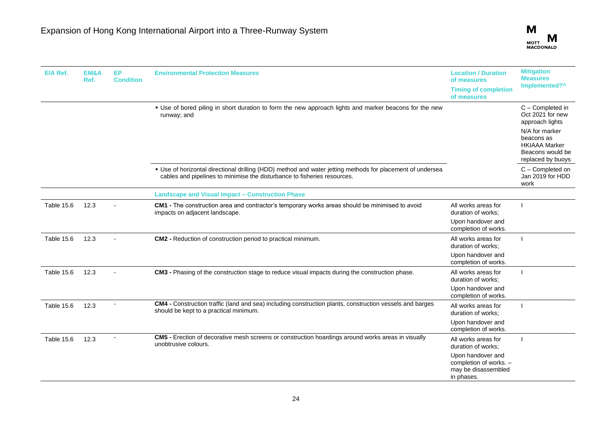

| <b>EIA Ref.</b>   | EM&A<br>Ref. | <b>EP</b><br><b>Condition</b> | <b>Environmental Protection Measures</b>                                                                                                                                              | <b>Location / Duration</b><br>of measures<br><b>Timing of completion</b><br>of measures                                       | <b>Mitigation</b><br><b>Measures</b><br>Implemented?^                                                                                                    |
|-------------------|--------------|-------------------------------|---------------------------------------------------------------------------------------------------------------------------------------------------------------------------------------|-------------------------------------------------------------------------------------------------------------------------------|----------------------------------------------------------------------------------------------------------------------------------------------------------|
|                   |              |                               | • Use of bored piling in short duration to form the new approach lights and marker beacons for the new<br>runway; and                                                                 |                                                                                                                               | C - Completed in<br>Oct 2021 for new<br>approach lights<br>N/A for marker<br>beacons as<br><b>HKIAAA Marker</b><br>Beacons would be<br>replaced by buoys |
|                   |              |                               | • Use of horizontal directional drilling (HDD) method and water jetting methods for placement of undersea<br>cables and pipelines to minimise the disturbance to fisheries resources. |                                                                                                                               | C - Completed on<br>Jan 2019 for HDD<br>work                                                                                                             |
|                   |              |                               | <b>Landscape and Visual Impact - Construction Phase</b>                                                                                                                               |                                                                                                                               |                                                                                                                                                          |
| Table 15.6        | 12.3         |                               | CM1 - The construction area and contractor's temporary works areas should be minimised to avoid<br>impacts on adjacent landscape.                                                     | All works areas for<br>duration of works:<br>Upon handover and<br>completion of works.                                        |                                                                                                                                                          |
| <b>Table 15.6</b> | 12.3         |                               | CM2 - Reduction of construction period to practical minimum.                                                                                                                          | All works areas for<br>duration of works:<br>Upon handover and<br>completion of works.                                        |                                                                                                                                                          |
| <b>Table 15.6</b> | 12.3         |                               | CM3 - Phasing of the construction stage to reduce visual impacts during the construction phase.                                                                                       | All works areas for<br>duration of works:<br>Upon handover and<br>completion of works.                                        |                                                                                                                                                          |
| <b>Table 15.6</b> | 12.3         |                               | CM4 - Construction traffic (land and sea) including construction plants, construction vessels and barges<br>should be kept to a practical minimum.                                    | All works areas for<br>duration of works:<br>Upon handover and<br>completion of works.                                        |                                                                                                                                                          |
| Table 15.6        | 12.3         |                               | <b>CM5</b> - Erection of decorative mesh screens or construction hoardings around works areas in visually<br>unobtrusive colours.                                                     | All works areas for<br>duration of works;<br>Upon handover and<br>completion of works. -<br>may be disassembled<br>in phases. |                                                                                                                                                          |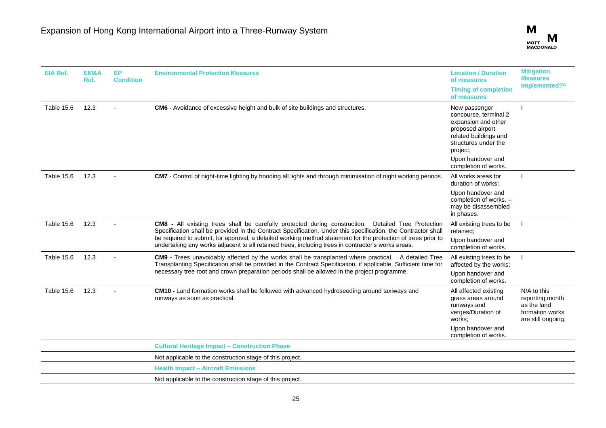

| <b>EIA Ref.</b> | EM&A<br>Ref. | <b>EP</b><br><b>Condition</b> | <b>Environmental Protection Measures</b>                                                                                                                                                                                                                                                                                                                                                                                                    | <b>Location / Duration</b><br>of measures<br><b>Timing of completion</b><br>of measures                                                                             | <b>Mitigation</b><br><b>Measures</b><br>Implemented?^                                  |
|-----------------|--------------|-------------------------------|---------------------------------------------------------------------------------------------------------------------------------------------------------------------------------------------------------------------------------------------------------------------------------------------------------------------------------------------------------------------------------------------------------------------------------------------|---------------------------------------------------------------------------------------------------------------------------------------------------------------------|----------------------------------------------------------------------------------------|
| Table 15.6      | 12.3         |                               | CM6 - Avoidance of excessive height and bulk of site buildings and structures.                                                                                                                                                                                                                                                                                                                                                              | New passenger<br>concourse, terminal 2<br>expansion and other<br>proposed airport<br>related buildings and<br>structures under the<br>project;<br>Upon handover and |                                                                                        |
|                 |              |                               |                                                                                                                                                                                                                                                                                                                                                                                                                                             | completion of works.                                                                                                                                                |                                                                                        |
| Table 15.6      | 12.3         |                               | CM7 - Control of night-time lighting by hooding all lights and through minimisation of night working periods.                                                                                                                                                                                                                                                                                                                               | All works areas for<br>duration of works:                                                                                                                           |                                                                                        |
|                 |              |                               |                                                                                                                                                                                                                                                                                                                                                                                                                                             | Upon handover and<br>completion of works. -<br>may be disassembled<br>in phases.                                                                                    |                                                                                        |
| Table 15.6      | 12.3         |                               | CM8 - All existing trees shall be carefully protected during construction. Detailed Tree Protection<br>Specification shall be provided in the Contract Specification. Under this specification, the Contractor shall<br>be required to submit, for approval, a detailed working method statement for the protection of trees prior to<br>undertaking any works adjacent to all retained trees, including trees in contractor's works areas. | All existing trees to be<br>retained;                                                                                                                               |                                                                                        |
|                 |              |                               |                                                                                                                                                                                                                                                                                                                                                                                                                                             | Upon handover and<br>completion of works.                                                                                                                           |                                                                                        |
| Table 15.6      | 12.3         |                               | CM9 - Trees unavoidably affected by the works shall be transplanted where practical. A detailed Tree<br>Transplanting Specification shall be provided in the Contract Specification, if applicable. Sufficient time for<br>necessary tree root and crown preparation periods shall be allowed in the project programme.                                                                                                                     | All existing trees to be<br>affected by the works;                                                                                                                  |                                                                                        |
|                 |              |                               |                                                                                                                                                                                                                                                                                                                                                                                                                                             | Upon handover and<br>completion of works.                                                                                                                           |                                                                                        |
| Table 15.6      | 12.3         |                               | CM10 - Land formation works shall be followed with advanced hydroseeding around taxiways and<br>runways as soon as practical.                                                                                                                                                                                                                                                                                                               | All affected existing<br>grass areas around<br>runways and<br>verges/Duration of<br>works:<br>Upon handover and<br>completion of works.                             | N/A to this<br>reporting month<br>as the land<br>formation works<br>are still ongoing. |
|                 |              |                               | <b>Cultural Heritage Impact - Construction Phase</b>                                                                                                                                                                                                                                                                                                                                                                                        |                                                                                                                                                                     |                                                                                        |
|                 |              |                               | Not applicable to the construction stage of this project.                                                                                                                                                                                                                                                                                                                                                                                   |                                                                                                                                                                     |                                                                                        |
|                 |              |                               | <b>Health Impact - Aircraft Emissions</b>                                                                                                                                                                                                                                                                                                                                                                                                   |                                                                                                                                                                     |                                                                                        |
|                 |              |                               | Not applicable to the construction stage of this project.                                                                                                                                                                                                                                                                                                                                                                                   |                                                                                                                                                                     |                                                                                        |